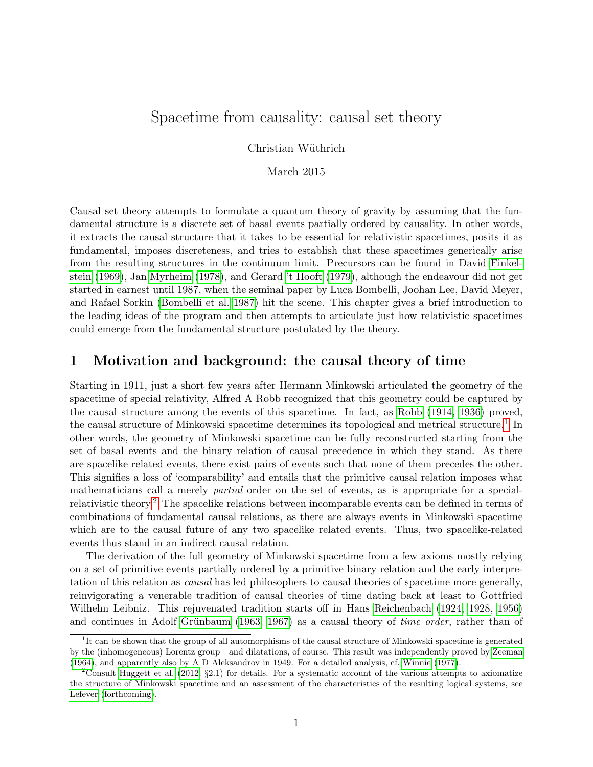# <span id="page-0-0"></span>Spacetime from causality: causal set theory

Christian Wüthrich

March 2015

Causal set theory attempts to formulate a quantum theory of gravity by assuming that the fundamental structure is a discrete set of basal events partially ordered by causality. In other words, it extracts the causal structure that it takes to be essential for relativistic spacetimes, posits it as fundamental, imposes discreteness, and tries to establish that these spacetimes generically arise from the resulting structures in the continuum limit. Precursors can be found in David [Finkel](#page-22-0)[stein](#page-22-0) [\(1969\)](#page-22-0), Jan [Myrheim](#page-23-0) [\(1978\)](#page-23-0), and Gerard ['t Hooft](#page-24-0) [\(1979\)](#page-24-0), although the endeavour did not get started in earnest until 1987, when the seminal paper by Luca Bombelli, Joohan Lee, David Meyer, and Rafael Sorkin [\(Bombelli et al. 1987\)](#page-22-1) hit the scene. This chapter gives a brief introduction to the leading ideas of the program and then attempts to articulate just how relativistic spacetimes could emerge from the fundamental structure postulated by the theory.

#### 1 Motivation and background: the causal theory of time

Starting in 1911, just a short few years after Hermann Minkowski articulated the geometry of the spacetime of special relativity, Alfred A Robb recognized that this geometry could be captured by the causal structure among the events of this spacetime. In fact, as [Robb](#page-24-1) [\(1914,](#page-24-1) [1936\)](#page-24-2) proved, the causal structure of Minkowski spacetime determines its topological and metrical structure.<sup>1</sup> In other words, the geometry of Minkowski spacetime can be fully reconstructed starting from the set of basal events and the binary relation of causal precedence in which they stand. As there are spacelike related events, there exist pairs of events such that none of them precedes the other. This signifies a loss of 'comparability' and entails that the primitive causal relation imposes what mathematicians call a merely partial order on the set of events, as is appropriate for a specialrelativistic theory.<sup>2</sup> The spacelike relations between incomparable events can be defined in terms of combinations of fundamental causal relations, as there are always events in Minkowski spacetime which are to the causal future of any two spacelike related events. Thus, two spacelike-related events thus stand in an indirect causal relation.

The derivation of the full geometry of Minkowski spacetime from a few axioms mostly relying on a set of primitive events partially ordered by a primitive binary relation and the early interpretation of this relation as causal has led philosophers to causal theories of spacetime more generally, reinvigorating a venerable tradition of causal theories of time dating back at least to Gottfried Wilhelm Leibniz. This rejuvenated tradition starts off in Hans [Reichenbach](#page-23-1) [\(1924,](#page-23-1) [1928,](#page-24-3) [1956\)](#page-24-4) and continues in Adolf Grünbaum [\(1963,](#page-22-2) [1967\)](#page-23-2) as a causal theory of *time order*, rather than of

<sup>&</sup>lt;sup>1</sup>It can be shown that the group of all automorphisms of the causal structure of Minkowski spacetime is generated by the (inhomogeneous) Lorentz group—and dilatations, of course. This result was independently proved by [Zeeman](#page-24-5) [\(1964\)](#page-24-5), and apparently also by A D Aleksandrov in 1949. For a detailed analysis, cf. [Winnie](#page-24-6) [\(1977\)](#page-24-6).

<sup>&</sup>lt;sup>2</sup>Consult [Huggett et al.](#page-23-3) [\(2012,](#page-23-3)  $\S 2.1$ ) for details. For a systematic account of the various attempts to axiomatize the structure of Minkowski spacetime and an assessment of the characteristics of the resulting logical systems, see [Lefever](#page-23-4) [\(forthcoming\)](#page-23-4).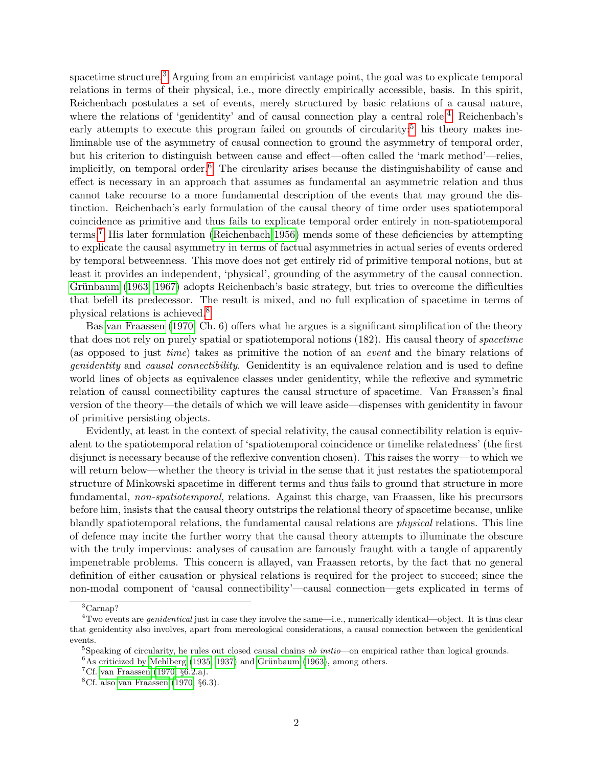spacetime structure.<sup>[3](#page-0-0)</sup> Arguing from an empiricist vantage point, the goal was to explicate temporal relations in terms of their physical, i.e., more directly empirically accessible, basis. In this spirit, Reichenbach postulates a set of events, merely structured by basic relations of a causal nature, where the relations of 'genidentity' and of causal connection play a central role.<sup>[4](#page-0-0)</sup> Reichenbach's early attempts to execute this program failed on grounds of circularity:<sup>[5](#page-0-0)</sup> his theory makes ineliminable use of the asymmetry of causal connection to ground the asymmetry of temporal order, but his criterion to distinguish between cause and effect—often called the 'mark method'—relies, implicitly, on temporal order.<sup>[6](#page-0-0)</sup> The circularity arises because the distinguishability of cause and effect is necessary in an approach that assumes as fundamental an asymmetric relation and thus cannot take recourse to a more fundamental description of the events that may ground the distinction. Reichenbach's early formulation of the causal theory of time order uses spatiotemporal coincidence as primitive and thus fails to explicate temporal order entirely in non-spatiotemporal terms.[7](#page-0-0) His later formulation [\(Reichenbach 1956\)](#page-24-4) mends some of these deficiencies by attempting to explicate the causal asymmetry in terms of factual asymmetries in actual series of events ordered by temporal betweenness. This move does not get entirely rid of primitive temporal notions, but at least it provides an independent, 'physical', grounding of the asymmetry of the causal connection. Grünbaum [\(1963,](#page-22-2) [1967\)](#page-23-2) adopts Reichenbach's basic strategy, but tries to overcome the difficulties that befell its predecessor. The result is mixed, and no full explication of spacetime in terms of physical relations is achieved.[8](#page-0-0)

Bas [van Fraassen](#page-24-7) [\(1970,](#page-24-7) Ch. 6) offers what he argues is a significant simplification of the theory that does not rely on purely spatial or spatiotemporal notions (182). His causal theory of spacetime (as opposed to just time) takes as primitive the notion of an event and the binary relations of genidentity and causal connectibility. Genidentity is an equivalence relation and is used to define world lines of objects as equivalence classes under genidentity, while the reflexive and symmetric relation of causal connectibility captures the causal structure of spacetime. Van Fraassen's final version of the theory—the details of which we will leave aside—dispenses with genidentity in favour of primitive persisting objects.

Evidently, at least in the context of special relativity, the causal connectibility relation is equivalent to the spatiotemporal relation of 'spatiotemporal coincidence or timelike relatedness' (the first disjunct is necessary because of the reflexive convention chosen). This raises the worry—to which we will return below—whether the theory is trivial in the sense that it just restates the spatiotemporal structure of Minkowski spacetime in different terms and thus fails to ground that structure in more fundamental, non-spatiotemporal, relations. Against this charge, van Fraassen, like his precursors before him, insists that the causal theory outstrips the relational theory of spacetime because, unlike blandly spatiotemporal relations, the fundamental causal relations are physical relations. This line of defence may incite the further worry that the causal theory attempts to illuminate the obscure with the truly impervious: analyses of causation are famously fraught with a tangle of apparently impenetrable problems. This concern is allayed, van Fraassen retorts, by the fact that no general definition of either causation or physical relations is required for the project to succeed; since the non-modal component of 'causal connectibility'—causal connection—gets explicated in terms of

<sup>3</sup>Carnap?

 $4$ Two events are *genidentical* just in case they involve the same—i.e., numerically identical—object. It is thus clear that genidentity also involves, apart from mereological considerations, a causal connection between the genidentical events.

 $5$ Speaking of circularity, he rules out closed causal chains ab initio—on empirical rather than logical grounds.

 $6$ As criticized by [Mehlberg](#page-23-5) [\(1935,](#page-23-5) [1937\)](#page-23-6) and Grünbaum [\(1963\)](#page-22-2), among others.

<sup>&</sup>lt;sup>7</sup>Cf. [van Fraassen](#page-24-7) [\(1970,](#page-24-7)  $\S 6.2.a$ ).

 ${}^{8}$ Cf. also [van Fraassen](#page-24-7) [\(1970,](#page-24-7)  $\S 6.3$ ).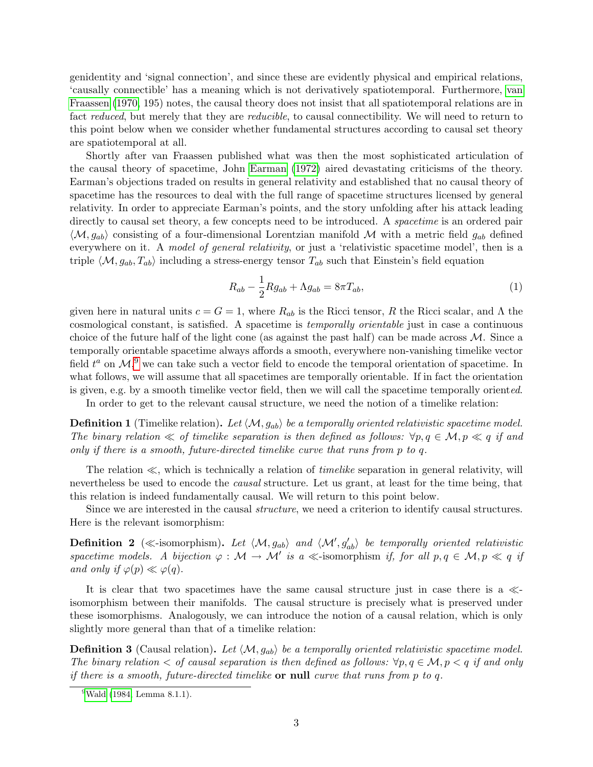genidentity and 'signal connection', and since these are evidently physical and empirical relations, 'causally connectible' has a meaning which is not derivatively spatiotemporal. Furthermore, [van](#page-24-7) [Fraassen](#page-24-7) [\(1970,](#page-24-7) 195) notes, the causal theory does not insist that all spatiotemporal relations are in fact reduced, but merely that they are *reducible*, to causal connectibility. We will need to return to this point below when we consider whether fundamental structures according to causal set theory are spatiotemporal at all.

Shortly after van Fraassen published what was then the most sophisticated articulation of the causal theory of spacetime, John [Earman](#page-22-3) [\(1972\)](#page-22-3) aired devastating criticisms of the theory. Earman's objections traded on results in general relativity and established that no causal theory of spacetime has the resources to deal with the full range of spacetime structures licensed by general relativity. In order to appreciate Earman's points, and the story unfolding after his attack leading directly to causal set theory, a few concepts need to be introduced. A *spacetime* is an ordered pair  $\langle M, g_{ab} \rangle$  consisting of a four-dimensional Lorentzian manifold M with a metric field  $g_{ab}$  defined everywhere on it. A model of general relativity, or just a 'relativistic spacetime model', then is a triple  $\langle M, g_{ab}, T_{ab} \rangle$  including a stress-energy tensor  $T_{ab}$  such that Einstein's field equation

$$
R_{ab} - \frac{1}{2} Rg_{ab} + \Lambda g_{ab} = 8\pi T_{ab},\tag{1}
$$

given here in natural units  $c = G = 1$ , where  $R_{ab}$  is the Ricci tensor, R the Ricci scalar, and  $\Lambda$  the cosmological constant, is satisfied. A spacetime is temporally orientable just in case a continuous choice of the future half of the light cone (as against the past half) can be made across  $M$ . Since a temporally orientable spacetime always affords a smooth, everywhere non-vanishing timelike vector field  $t^a$  on  $\mathcal{M}$ , we can take such a vector field to encode the temporal orientation of spacetime. In what follows, we will assume that all spacetimes are temporally orientable. If in fact the orientation is given, e.g. by a smooth timelike vector field, then we will call the spacetime temporally oriented.

In order to get to the relevant causal structure, we need the notion of a timelike relation:

<span id="page-2-0"></span>**Definition 1** (Timelike relation). Let  $\langle M, g_{ab} \rangle$  be a temporally oriented relativistic spacetime model. The binary relation  $\ll$  of timelike separation is then defined as follows:  $\forall p, q \in \mathcal{M}, p \ll q$  if and only if there is a smooth, future-directed timelike curve that runs from p to q.

The relation  $\ll$ , which is technically a relation of *timelike* separation in general relativity, will nevertheless be used to encode the *causal* structure. Let us grant, at least for the time being, that this relation is indeed fundamentally causal. We will return to this point below.

Since we are interested in the causal structure, we need a criterion to identify causal structures. Here is the relevant isomorphism:

<span id="page-2-1"></span>**Definition 2** ( $\ll$ -isomorphism). Let  $\langle M, g_{ab} \rangle$  and  $\langle M', g'_{ab} \rangle$  be temporally oriented relativistic spacetime models. A bijection  $\varphi : \mathcal{M} \to \mathcal{M}'$  is a  $\ll$ -isomorphism if, for all  $p, q \in \mathcal{M}, p \ll q$  if and only if  $\varphi(p) \ll \varphi(q)$ .

It is clear that two spacetimes have the same causal structure just in case there is a  $\ll$ isomorphism between their manifolds. The causal structure is precisely what is preserved under these isomorphisms. Analogously, we can introduce the notion of a causal relation, which is only slightly more general than that of a timelike relation:

**Definition 3** (Causal relation). Let  $\langle M, g_{ab} \rangle$  be a temporally oriented relativistic spacetime model. The binary relation  $\leq$  of causal separation is then defined as follows:  $\forall p, q \in \mathcal{M}, p < q$  if and only if there is a smooth, future-directed timelike or null curve that runs from p to q.

 $9$ [Wald](#page-24-8) [\(1984,](#page-24-8) Lemma 8.1.1).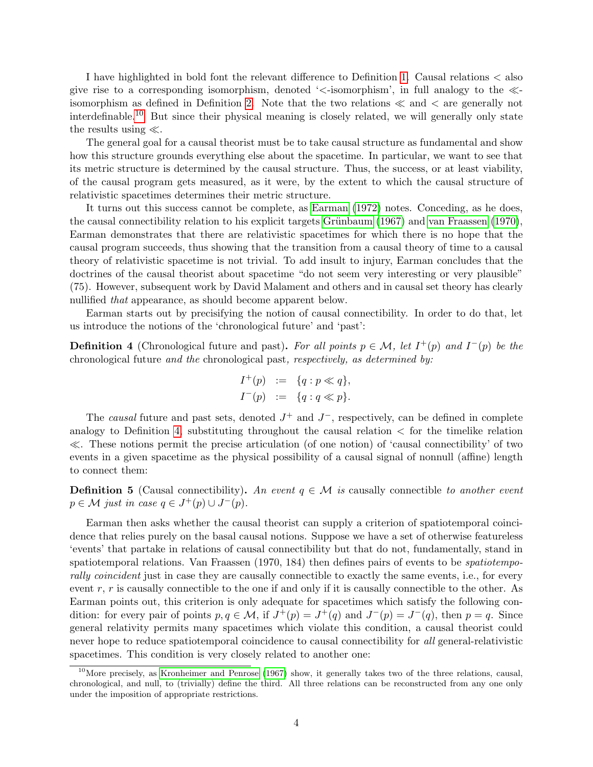I have highlighted in bold font the relevant difference to Definition [1.](#page-2-0) Causal relations < also give rise to a corresponding isomorphism, denoted ' $\lt$ -isomorphism', in full analogy to the  $\ll$ -isomorphism as defined in Definition [2.](#page-2-1) Note that the two relations  $\ll$  and  $\lt$  are generally not interdefinable.[10](#page-0-0) But since their physical meaning is closely related, we will generally only state the results using  $\ll$ .

The general goal for a causal theorist must be to take causal structure as fundamental and show how this structure grounds everything else about the spacetime. In particular, we want to see that its metric structure is determined by the causal structure. Thus, the success, or at least viability, of the causal program gets measured, as it were, by the extent to which the causal structure of relativistic spacetimes determines their metric structure.

It turns out this success cannot be complete, as [Earman](#page-22-3) [\(1972\)](#page-22-3) notes. Conceding, as he does, the causal connectibility relation to his explicit targets Grünbaum  $(1967)$  and [van Fraassen](#page-24-7)  $(1970)$ , Earman demonstrates that there are relativistic spacetimes for which there is no hope that the causal program succeeds, thus showing that the transition from a causal theory of time to a causal theory of relativistic spacetime is not trivial. To add insult to injury, Earman concludes that the doctrines of the causal theorist about spacetime "do not seem very interesting or very plausible" (75). However, subsequent work by David Malament and others and in causal set theory has clearly nullified *that* appearance, as should become apparent below.

Earman starts out by precisifying the notion of causal connectibility. In order to do that, let us introduce the notions of the 'chronological future' and 'past':

<span id="page-3-0"></span>**Definition 4** (Chronological future and past). For all points  $p \in \mathcal{M}$ , let  $I^+(p)$  and  $I^-(p)$  be the chronological future and the chronological past, respectively, as determined by:

$$
I^+(p) := \{q : p \ll q\},
$$
  

$$
I^-(p) := \{q : q \ll p\}.
$$

The causal future and past sets, denoted  $J^+$  and  $J^-$ , respectively, can be defined in complete analogy to Definition [4,](#page-3-0) substituting throughout the causal relation  $\lt$  for the timelike relation  $\ll$ . These notions permit the precise articulation (of one notion) of 'causal connectibility' of two events in a given spacetime as the physical possibility of a causal signal of nonnull (affine) length to connect them:

**Definition 5** (Causal connectibility). An event  $q \in \mathcal{M}$  is causally connectible to another event  $p \in \mathcal{M}$  just in case  $q \in J^+(p) \cup J^-(p)$ .

Earman then asks whether the causal theorist can supply a criterion of spatiotemporal coincidence that relies purely on the basal causal notions. Suppose we have a set of otherwise featureless 'events' that partake in relations of causal connectibility but that do not, fundamentally, stand in spatiotemporal relations. Van Fraassen (1970, 184) then defines pairs of events to be spatiotemporally coincident just in case they are causally connectible to exactly the same events, i.e., for every event  $r, r$  is causally connectible to the one if and only if it is causally connectible to the other. As Earman points out, this criterion is only adequate for spacetimes which satisfy the following condition: for every pair of points  $p, q \in \mathcal{M}$ , if  $J^+(p) = J^+(q)$  and  $J^-(p) = J^-(q)$ , then  $p = q$ . Since general relativity permits many spacetimes which violate this condition, a causal theorist could never hope to reduce spatiotemporal coincidence to causal connectibility for all general-relativistic spacetimes. This condition is very closely related to another one:

 $10$ More precisely, as [Kronheimer and Penrose](#page-23-7) [\(1967\)](#page-23-7) show, it generally takes two of the three relations, causal, chronological, and null, to (trivially) define the third. All three relations can be reconstructed from any one only under the imposition of appropriate restrictions.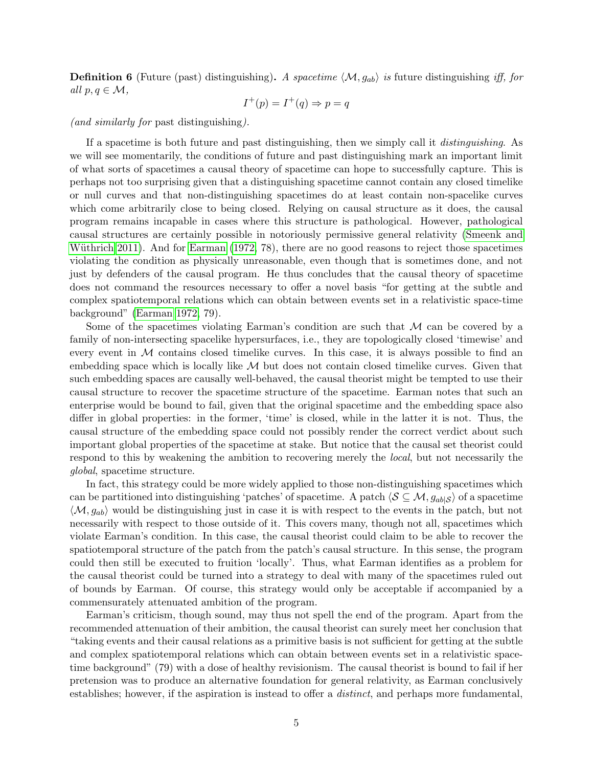**Definition 6** (Future (past) distinguishing). A spacetime  $\langle M, g_{ab} \rangle$  is future distinguishing iff, for all  $p, q \in \mathcal{M}$ ,

$$
I^+(p) = I^+(q) \Rightarrow p = q
$$

(and similarly for past distinguishing).

If a spacetime is both future and past distinguishing, then we simply call it distinguishing. As we will see momentarily, the conditions of future and past distinguishing mark an important limit of what sorts of spacetimes a causal theory of spacetime can hope to successfully capture. This is perhaps not too surprising given that a distinguishing spacetime cannot contain any closed timelike or null curves and that non-distinguishing spacetimes do at least contain non-spacelike curves which come arbitrarily close to being closed. Relying on causal structure as it does, the causal program remains incapable in cases where this structure is pathological. However, pathological causal structures are certainly possible in notoriously permissive general relativity [\(Smeenk and](#page-24-9) Wüthrich 2011). And for [Earman](#page-22-3) [\(1972,](#page-22-3) 78), there are no good reasons to reject those spacetimes violating the condition as physically unreasonable, even though that is sometimes done, and not just by defenders of the causal program. He thus concludes that the causal theory of spacetime does not command the resources necessary to offer a novel basis "for getting at the subtle and complex spatiotemporal relations which can obtain between events set in a relativistic space-time background" [\(Earman 1972,](#page-22-3) 79).

Some of the spacetimes violating Earman's condition are such that  $\mathcal M$  can be covered by a family of non-intersecting spacelike hypersurfaces, i.e., they are topologically closed 'timewise' and every event in  $M$  contains closed timelike curves. In this case, it is always possible to find an embedding space which is locally like  $M$  but does not contain closed timelike curves. Given that such embedding spaces are causally well-behaved, the causal theorist might be tempted to use their causal structure to recover the spacetime structure of the spacetime. Earman notes that such an enterprise would be bound to fail, given that the original spacetime and the embedding space also differ in global properties: in the former, 'time' is closed, while in the latter it is not. Thus, the causal structure of the embedding space could not possibly render the correct verdict about such important global properties of the spacetime at stake. But notice that the causal set theorist could respond to this by weakening the ambition to recovering merely the local, but not necessarily the global, spacetime structure.

In fact, this strategy could be more widely applied to those non-distinguishing spacetimes which can be partitioned into distinguishing 'patches' of spacetime. A patch  $\langle S \subseteq M, g_{ab}|S \rangle$  of a spacetime  $\langle M, g_{ab}\rangle$  would be distinguishing just in case it is with respect to the events in the patch, but not necessarily with respect to those outside of it. This covers many, though not all, spacetimes which violate Earman's condition. In this case, the causal theorist could claim to be able to recover the spatiotemporal structure of the patch from the patch's causal structure. In this sense, the program could then still be executed to fruition 'locally'. Thus, what Earman identifies as a problem for the causal theorist could be turned into a strategy to deal with many of the spacetimes ruled out of bounds by Earman. Of course, this strategy would only be acceptable if accompanied by a commensurately attenuated ambition of the program.

Earman's criticism, though sound, may thus not spell the end of the program. Apart from the recommended attenuation of their ambition, the causal theorist can surely meet her conclusion that "taking events and their causal relations as a primitive basis is not sufficient for getting at the subtle and complex spatiotemporal relations which can obtain between events set in a relativistic spacetime background" (79) with a dose of healthy revisionism. The causal theorist is bound to fail if her pretension was to produce an alternative foundation for general relativity, as Earman conclusively establishes; however, if the aspiration is instead to offer a distinct, and perhaps more fundamental,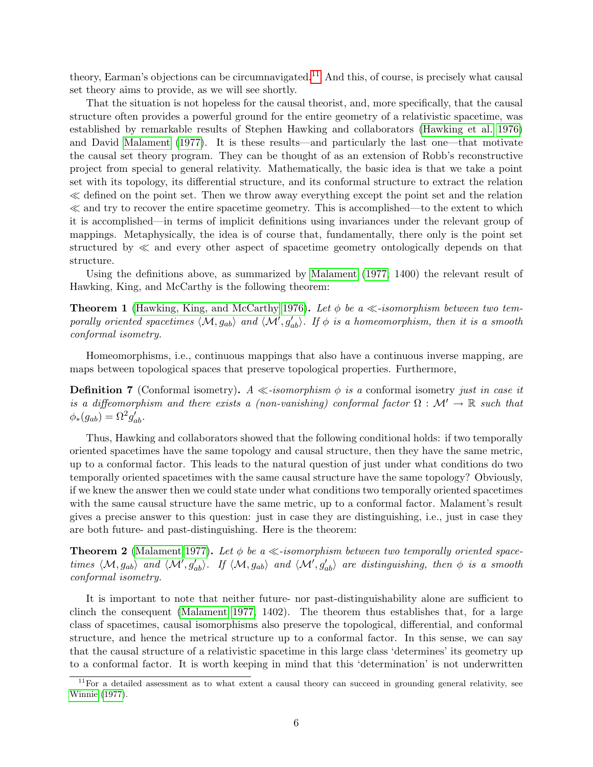theory, Earman's objections can be circumnavigated.<sup>[11](#page-0-0)</sup> And this, of course, is precisely what causal set theory aims to provide, as we will see shortly.

That the situation is not hopeless for the causal theorist, and, more specifically, that the causal structure often provides a powerful ground for the entire geometry of a relativistic spacetime, was established by remarkable results of Stephen Hawking and collaborators [\(Hawking et al. 1976\)](#page-23-8) and David [Malament](#page-23-9) [\(1977\)](#page-23-9). It is these results—and particularly the last one—that motivate the causal set theory program. They can be thought of as an extension of Robb's reconstructive project from special to general relativity. Mathematically, the basic idea is that we take a point set with its topology, its differential structure, and its conformal structure to extract the relation  $\ll$  defined on the point set. Then we throw away everything except the point set and the relation  $\ll$  and try to recover the entire spacetime geometry. This is accomplished—to the extent to which it is accomplished—in terms of implicit definitions using invariances under the relevant group of mappings. Metaphysically, the idea is of course that, fundamentally, there only is the point set structured by  $\ll$  and every other aspect of spacetime geometry ontologically depends on that structure.

Using the definitions above, as summarized by [Malament](#page-23-9) [\(1977,](#page-23-9) 1400) the relevant result of Hawking, King, and McCarthy is the following theorem:

**Theorem 1** [\(Hawking, King, and McCarthy 1976\)](#page-23-8). Let  $\phi$  be a  $\ll$ -isomorphism between two temporally oriented spacetimes  $\langle M, g_{ab} \rangle$  and  $\langle M', g'_{ab} \rangle$ . If  $\phi$  is a homeomorphism, then it is a smooth conformal isometry.

Homeomorphisms, i.e., continuous mappings that also have a continuous inverse mapping, are maps between topological spaces that preserve topological properties. Furthermore,

**Definition 7** (Conformal isometry).  $A \ll$ -isomorphism  $\phi$  is a conformal isometry just in case it is a diffeomorphism and there exists a (non-vanishing) conformal factor  $\Omega : \mathcal{M}' \to \mathbb{R}$  such that  $\phi_*(g_{ab}) = \Omega^2 g'_{ab}.$ 

Thus, Hawking and collaborators showed that the following conditional holds: if two temporally oriented spacetimes have the same topology and causal structure, then they have the same metric, up to a conformal factor. This leads to the natural question of just under what conditions do two temporally oriented spacetimes with the same causal structure have the same topology? Obviously, if we knew the answer then we could state under what conditions two temporally oriented spacetimes with the same causal structure have the same metric, up to a conformal factor. Malament's result gives a precise answer to this question: just in case they are distinguishing, i.e., just in case they are both future- and past-distinguishing. Here is the theorem:

<span id="page-5-0"></span>**Theorem 2** [\(Malament 1977\)](#page-23-9). Let  $\phi$  be a  $\ll$ -isomorphism between two temporally oriented spacetimes  $\langle M, g_{ab}\rangle$  and  $\langle M', g'_{ab}\rangle$ . If  $\langle M, g_{ab}\rangle$  and  $\langle M', g'_{ab}\rangle$  are distinguishing, then  $\phi$  is a smooth conformal isometry.

It is important to note that neither future- nor past-distinguishability alone are sufficient to clinch the consequent [\(Malament 1977,](#page-23-9) 1402). The theorem thus establishes that, for a large class of spacetimes, causal isomorphisms also preserve the topological, differential, and conformal structure, and hence the metrical structure up to a conformal factor. In this sense, we can say that the causal structure of a relativistic spacetime in this large class 'determines' its geometry up to a conformal factor. It is worth keeping in mind that this 'determination' is not underwritten

 $11$  For a detailed assessment as to what extent a causal theory can succeed in grounding general relativity, see [Winnie](#page-24-6) [\(1977\)](#page-24-6).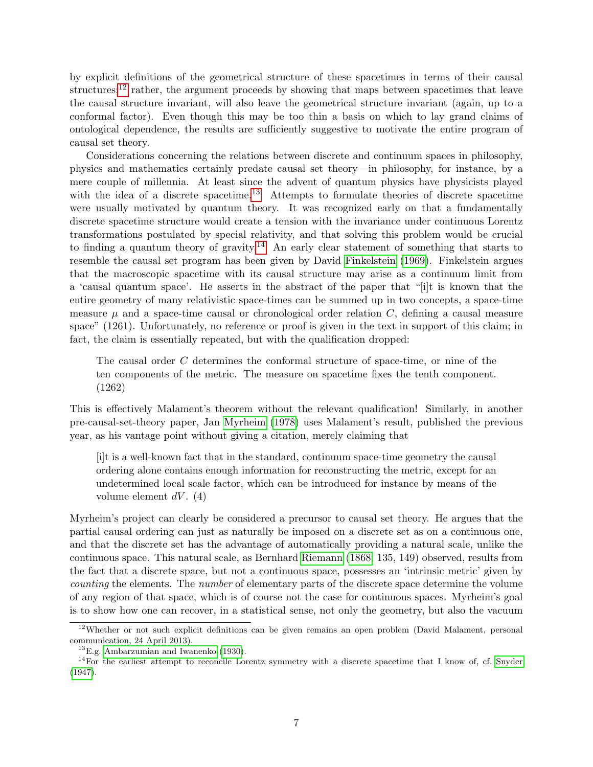by explicit definitions of the geometrical structure of these spacetimes in terms of their causal structures;<sup>[12](#page-0-0)</sup> rather, the argument proceeds by showing that maps between spacetimes that leave the causal structure invariant, will also leave the geometrical structure invariant (again, up to a conformal factor). Even though this may be too thin a basis on which to lay grand claims of ontological dependence, the results are sufficiently suggestive to motivate the entire program of causal set theory.

Considerations concerning the relations between discrete and continuum spaces in philosophy, physics and mathematics certainly predate causal set theory—in philosophy, for instance, by a mere couple of millennia. At least since the advent of quantum physics have physicists played with the idea of a discrete spacetime.<sup>[13](#page-0-0)</sup> Attempts to formulate theories of discrete spacetime were usually motivated by quantum theory. It was recognized early on that a fundamentally discrete spacetime structure would create a tension with the invariance under continuous Lorentz transformations postulated by special relativity, and that solving this problem would be crucial to finding a quantum theory of gravity.<sup>[14](#page-0-0)</sup> An early clear statement of something that starts to resemble the causal set program has been given by David [Finkelstein](#page-22-0) [\(1969\)](#page-22-0). Finkelstein argues that the macroscopic spacetime with its causal structure may arise as a continuum limit from a 'causal quantum space'. He asserts in the abstract of the paper that "[i]t is known that the entire geometry of many relativistic space-times can be summed up in two concepts, a space-time measure  $\mu$  and a space-time causal or chronological order relation  $C$ , defining a causal measure space" (1261). Unfortunately, no reference or proof is given in the text in support of this claim; in fact, the claim is essentially repeated, but with the qualification dropped:

The causal order C determines the conformal structure of space-time, or nine of the ten components of the metric. The measure on spacetime fixes the tenth component. (1262)

This is effectively Malament's theorem without the relevant qualification! Similarly, in another pre-causal-set-theory paper, Jan [Myrheim](#page-23-0) [\(1978\)](#page-23-0) uses Malament's result, published the previous year, as his vantage point without giving a citation, merely claiming that

[i]t is a well-known fact that in the standard, continuum space-time geometry the causal ordering alone contains enough information for reconstructing the metric, except for an undetermined local scale factor, which can be introduced for instance by means of the volume element  $dV$ . (4)

Myrheim's project can clearly be considered a precursor to causal set theory. He argues that the partial causal ordering can just as naturally be imposed on a discrete set as on a continuous one, and that the discrete set has the advantage of automatically providing a natural scale, unlike the continuous space. This natural scale, as Bernhard [Riemann](#page-24-10) [\(1868,](#page-24-10) 135, 149) observed, results from the fact that a discrete space, but not a continuous space, possesses an 'intrinsic metric' given by counting the elements. The number of elementary parts of the discrete space determine the volume of any region of that space, which is of course not the case for continuous spaces. Myrheim's goal is to show how one can recover, in a statistical sense, not only the geometry, but also the vacuum

 $12$ Whether or not such explicit definitions can be given remains an open problem (David Malament, personal communication, 24 April 2013).

 $^{13}$ E.g. [Ambarzumian and Iwanenko](#page-22-4) [\(1930\)](#page-22-4).

<sup>&</sup>lt;sup>14</sup>For the earliest attempt to reconcile Lorentz symmetry with a discrete spacetime that I know of, cf. [Snyder](#page-24-11) [\(1947\)](#page-24-11).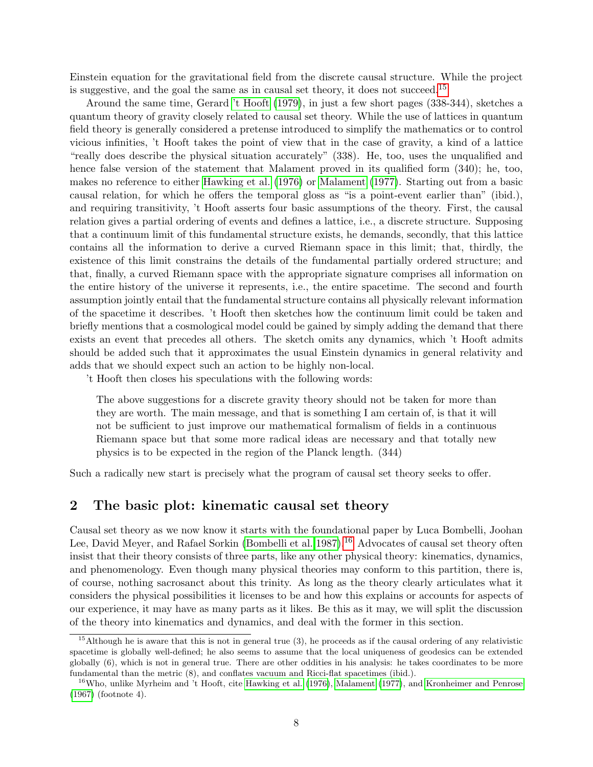Einstein equation for the gravitational field from the discrete causal structure. While the project is suggestive, and the goal the same as in causal set theory, it does not succeed.[15](#page-0-0)

Around the same time, Gerard ['t Hooft](#page-24-0) [\(1979\)](#page-24-0), in just a few short pages (338-344), sketches a quantum theory of gravity closely related to causal set theory. While the use of lattices in quantum field theory is generally considered a pretense introduced to simplify the mathematics or to control vicious infinities, 't Hooft takes the point of view that in the case of gravity, a kind of a lattice "really does describe the physical situation accurately" (338). He, too, uses the unqualified and hence false version of the statement that Malament proved in its qualified form (340); he, too, makes no reference to either [Hawking et al.](#page-23-8) [\(1976\)](#page-23-8) or [Malament](#page-23-9) [\(1977\)](#page-23-9). Starting out from a basic causal relation, for which he offers the temporal gloss as "is a point-event earlier than" (ibid.), and requiring transitivity, 't Hooft asserts four basic assumptions of the theory. First, the causal relation gives a partial ordering of events and defines a lattice, i.e., a discrete structure. Supposing that a continuum limit of this fundamental structure exists, he demands, secondly, that this lattice contains all the information to derive a curved Riemann space in this limit; that, thirdly, the existence of this limit constrains the details of the fundamental partially ordered structure; and that, finally, a curved Riemann space with the appropriate signature comprises all information on the entire history of the universe it represents, i.e., the entire spacetime. The second and fourth assumption jointly entail that the fundamental structure contains all physically relevant information of the spacetime it describes. 't Hooft then sketches how the continuum limit could be taken and briefly mentions that a cosmological model could be gained by simply adding the demand that there exists an event that precedes all others. The sketch omits any dynamics, which 't Hooft admits should be added such that it approximates the usual Einstein dynamics in general relativity and adds that we should expect such an action to be highly non-local.

't Hooft then closes his speculations with the following words:

The above suggestions for a discrete gravity theory should not be taken for more than they are worth. The main message, and that is something I am certain of, is that it will not be sufficient to just improve our mathematical formalism of fields in a continuous Riemann space but that some more radical ideas are necessary and that totally new physics is to be expected in the region of the Planck length. (344)

Such a radically new start is precisely what the program of causal set theory seeks to offer.

#### 2 The basic plot: kinematic causal set theory

Causal set theory as we now know it starts with the foundational paper by Luca Bombelli, Joohan Lee, David Meyer, and Rafael Sorkin [\(Bombelli et al. 1987\)](#page-22-1).<sup>[16](#page-0-0)</sup> Advocates of causal set theory often insist that their theory consists of three parts, like any other physical theory: kinematics, dynamics, and phenomenology. Even though many physical theories may conform to this partition, there is, of course, nothing sacrosanct about this trinity. As long as the theory clearly articulates what it considers the physical possibilities it licenses to be and how this explains or accounts for aspects of our experience, it may have as many parts as it likes. Be this as it may, we will split the discussion of the theory into kinematics and dynamics, and deal with the former in this section.

 $15$ Although he is aware that this is not in general true (3), he proceeds as if the causal ordering of any relativistic spacetime is globally well-defined; he also seems to assume that the local uniqueness of geodesics can be extended globally (6), which is not in general true. There are other oddities in his analysis: he takes coordinates to be more fundamental than the metric (8), and conflates vacuum and Ricci-flat spacetimes (ibid.).

<sup>&</sup>lt;sup>16</sup>Who, unlike Myrheim and 't Hooft, cite [Hawking et al.](#page-23-8) [\(1976\)](#page-23-8), [Malament](#page-23-9) [\(1977\)](#page-23-9), and [Kronheimer and Penrose](#page-23-7) [\(1967\)](#page-23-7) (footnote 4).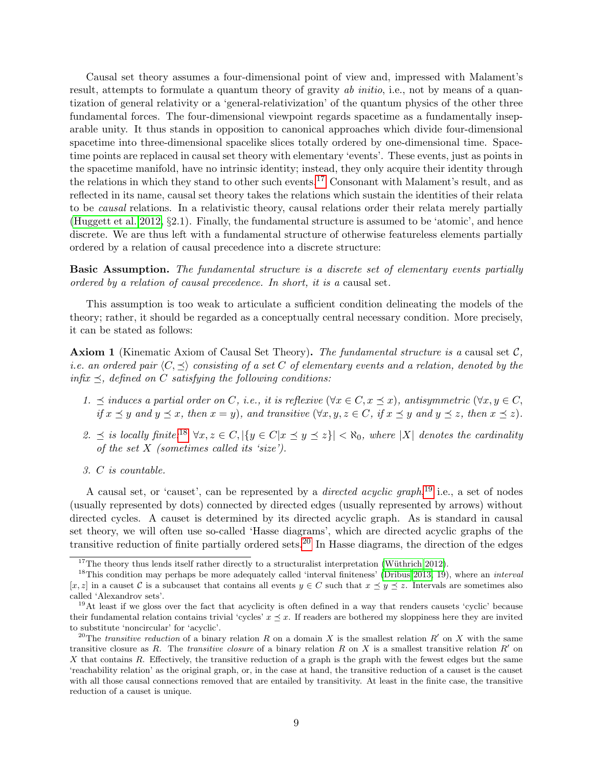Causal set theory assumes a four-dimensional point of view and, impressed with Malament's result, attempts to formulate a quantum theory of gravity ab initio, i.e., not by means of a quantization of general relativity or a 'general-relativization' of the quantum physics of the other three fundamental forces. The four-dimensional viewpoint regards spacetime as a fundamentally inseparable unity. It thus stands in opposition to canonical approaches which divide four-dimensional spacetime into three-dimensional spacelike slices totally ordered by one-dimensional time. Spacetime points are replaced in causal set theory with elementary 'events'. These events, just as points in the spacetime manifold, have no intrinsic identity; instead, they only acquire their identity through the relations in which they stand to other such events.<sup>[17](#page-0-0)</sup> Consonant with Malament's result, and as reflected in its name, causal set theory takes the relations which sustain the identities of their relata to be causal relations. In a relativistic theory, causal relations order their relata merely partially [\(Huggett et al. 2012,](#page-23-3) §2.1). Finally, the fundamental structure is assumed to be 'atomic', and hence discrete. We are thus left with a fundamental structure of otherwise featureless elements partially ordered by a relation of causal precedence into a discrete structure:

Basic Assumption. The fundamental structure is a discrete set of elementary events partially ordered by a relation of causal precedence. In short, it is a causal set.

This assumption is too weak to articulate a sufficient condition delineating the models of the theory; rather, it should be regarded as a conceptually central necessary condition. More precisely, it can be stated as follows:

<span id="page-8-0"></span>**Axiom 1** (Kinematic Axiom of Causal Set Theory). The fundamental structure is a causal set  $C$ , *i.e.* an ordered pair  $\langle C, \preceq \rangle$  consisting of a set C of elementary events and a relation, denoted by the infix  $\preceq$ , defined on C satisfying the following conditions:

- 1.  $\preceq$  induces a partial order on C, i.e., it is reflexive  $(\forall x \in C, x \preceq x)$ , antisymmetric  $(\forall x, y \in C,$ if  $x \preceq y$  and  $y \preceq x$ , then  $x = y$ ), and transitive  $(\forall x, y, z \in C, if x \preceq y$  and  $y \preceq z$ , then  $x \preceq z$ ).
- 2.  $\leq$  is locally finite:<sup>[18](#page-0-0)</sup>  $\forall x, z \in C, |\{y \in C | x \leq y \leq z\}| < \aleph_0$ , where |X| denotes the cardinality of the set  $X$  (sometimes called its 'size').
- 3. C is countable.

A causal set, or 'causet', can be represented by a *directed acyclic graph*,<sup>[19](#page-0-0)</sup> i.e., a set of nodes (usually represented by dots) connected by directed edges (usually represented by arrows) without directed cycles. A causet is determined by its directed acyclic graph. As is standard in causal set theory, we will often use so-called 'Hasse diagrams', which are directed acyclic graphs of the transitive reduction of finite partially ordered sets.<sup>[20](#page-0-0)</sup> In Hasse diagrams, the direction of the edges

<sup>&</sup>lt;sup>17</sup>The theory thus lends itself rather directly to a structuralist interpretation (Wüthrich 2012).

<sup>&</sup>lt;sup>18</sup>This condition may perhaps be more adequately called 'interval finiteness' [\(Dribus 2013,](#page-22-5) 19), where an *interval*  $[x, z]$  in a causet C is a subcauset that contains all events  $y \in C$  such that  $x \preceq y \preceq z$ . Intervals are sometimes also called 'Alexandrov sets'.

 $19$ At least if we gloss over the fact that acyclicity is often defined in a way that renders causets 'cyclic' because their fundamental relation contains trivial 'cycles'  $x \leq x$ . If readers are bothered my sloppiness here they are invited to substitute 'noncircular' for 'acyclic'.

<sup>&</sup>lt;sup>20</sup>The transitive reduction of a binary relation R on a domain X is the smallest relation R' on X with the same transitive closure as R. The transitive closure of a binary relation R on X is a smallest transitive relation  $R'$  on X that contains R. Effectively, the transitive reduction of a graph is the graph with the fewest edges but the same 'reachability relation' as the original graph, or, in the case at hand, the transitive reduction of a causet is the causet with all those causal connections removed that are entailed by transitivity. At least in the finite case, the transitive reduction of a causet is unique.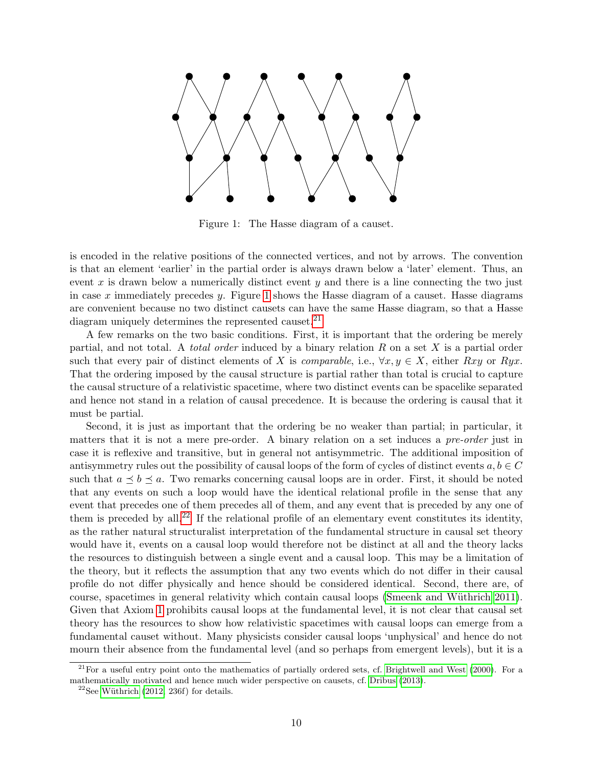

<span id="page-9-0"></span>Figure 1: The Hasse diagram of a causet.

is encoded in the relative positions of the connected vertices, and not by arrows. The convention is that an element 'earlier' in the partial order is always drawn below a 'later' element. Thus, an event  $x$  is drawn below a numerically distinct event  $y$  and there is a line connecting the two just in case x immediately precedes y. Figure [1](#page-9-0) shows the Hasse diagram of a causet. Hasse diagrams are convenient because no two distinct causets can have the same Hasse diagram, so that a Hasse diagram uniquely determines the represented causet.<sup>[21](#page-0-0)</sup>

A few remarks on the two basic conditions. First, it is important that the ordering be merely partial, and not total. A *total order* induced by a binary relation  $R$  on a set  $X$  is a partial order such that every pair of distinct elements of X is *comparable*, i.e.,  $\forall x, y \in X$ , either Rxy or Ryx. That the ordering imposed by the causal structure is partial rather than total is crucial to capture the causal structure of a relativistic spacetime, where two distinct events can be spacelike separated and hence not stand in a relation of causal precedence. It is because the ordering is causal that it must be partial.

Second, it is just as important that the ordering be no weaker than partial; in particular, it matters that it is not a mere pre-order. A binary relation on a set induces a *pre-order* just in case it is reflexive and transitive, but in general not antisymmetric. The additional imposition of antisymmetry rules out the possibility of causal loops of the form of cycles of distinct events  $a, b \in C$ such that  $a \leq b \leq a$ . Two remarks concerning causal loops are in order. First, it should be noted that any events on such a loop would have the identical relational profile in the sense that any event that precedes one of them precedes all of them, and any event that is preceded by any one of them is preceded by all.<sup>[22](#page-0-0)</sup> If the relational profile of an elementary event constitutes its identity, as the rather natural structuralist interpretation of the fundamental structure in causal set theory would have it, events on a causal loop would therefore not be distinct at all and the theory lacks the resources to distinguish between a single event and a causal loop. This may be a limitation of the theory, but it reflects the assumption that any two events which do not differ in their causal profile do not differ physically and hence should be considered identical. Second, there are, of course, spacetimes in general relativity which contain causal loops (Smeenk and Wüthrich 2011). Given that Axiom [1](#page-8-0) prohibits causal loops at the fundamental level, it is not clear that causal set theory has the resources to show how relativistic spacetimes with causal loops can emerge from a fundamental causet without. Many physicists consider causal loops 'unphysical' and hence do not mourn their absence from the fundamental level (and so perhaps from emergent levels), but it is a

 $^{21}$ For a useful entry point onto the mathematics of partially ordered sets, cf. [Brightwell and West](#page-22-6) [\(2000\)](#page-22-6). For a mathematically motivated and hence much wider perspective on causets, cf. [Dribus](#page-22-5) [\(2013\)](#page-22-5).

 $22$ See Wüthrich [\(2012,](#page-24-12) 236f) for details.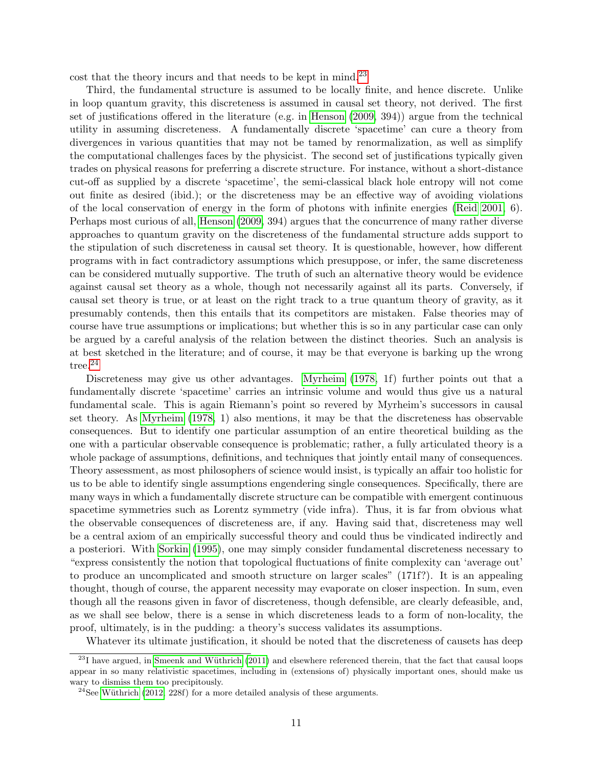cost that the theory incurs and that needs to be kept in mind.<sup>[23](#page-0-0)</sup>

Third, the fundamental structure is assumed to be locally finite, and hence discrete. Unlike in loop quantum gravity, this discreteness is assumed in causal set theory, not derived. The first set of justifications offered in the literature (e.g. in [Henson](#page-23-10) [\(2009,](#page-23-10) 394)) argue from the technical utility in assuming discreteness. A fundamentally discrete 'spacetime' can cure a theory from divergences in various quantities that may not be tamed by renormalization, as well as simplify the computational challenges faces by the physicist. The second set of justifications typically given trades on physical reasons for preferring a discrete structure. For instance, without a short-distance cut-off as supplied by a discrete 'spacetime', the semi-classical black hole entropy will not come out finite as desired (ibid.); or the discreteness may be an effective way of avoiding violations of the local conservation of energy in the form of photons with infinite energies [\(Reid 2001,](#page-24-13) 6). Perhaps most curious of all, [Henson](#page-23-10) [\(2009,](#page-23-10) 394) argues that the concurrence of many rather diverse approaches to quantum gravity on the discreteness of the fundamental structure adds support to the stipulation of such discreteness in causal set theory. It is questionable, however, how different programs with in fact contradictory assumptions which presuppose, or infer, the same discreteness can be considered mutually supportive. The truth of such an alternative theory would be evidence against causal set theory as a whole, though not necessarily against all its parts. Conversely, if causal set theory is true, or at least on the right track to a true quantum theory of gravity, as it presumably contends, then this entails that its competitors are mistaken. False theories may of course have true assumptions or implications; but whether this is so in any particular case can only be argued by a careful analysis of the relation between the distinct theories. Such an analysis is at best sketched in the literature; and of course, it may be that everyone is barking up the wrong tree.<sup>[24](#page-0-0)</sup>

Discreteness may give us other advantages. [Myrheim](#page-23-0) [\(1978,](#page-23-0) 1f) further points out that a fundamentally discrete 'spacetime' carries an intrinsic volume and would thus give us a natural fundamental scale. This is again Riemann's point so revered by Myrheim's successors in causal set theory. As [Myrheim](#page-23-0) [\(1978,](#page-23-0) 1) also mentions, it may be that the discreteness has observable consequences. But to identify one particular assumption of an entire theoretical building as the one with a particular observable consequence is problematic; rather, a fully articulated theory is a whole package of assumptions, definitions, and techniques that jointly entail many of consequences. Theory assessment, as most philosophers of science would insist, is typically an affair too holistic for us to be able to identify single assumptions engendering single consequences. Specifically, there are many ways in which a fundamentally discrete structure can be compatible with emergent continuous spacetime symmetries such as Lorentz symmetry (vide infra). Thus, it is far from obvious what the observable consequences of discreteness are, if any. Having said that, discreteness may well be a central axiom of an empirically successful theory and could thus be vindicated indirectly and a posteriori. With [Sorkin](#page-24-14) [\(1995\)](#page-24-14), one may simply consider fundamental discreteness necessary to "express consistently the notion that topological fluctuations of finite complexity can 'average out' to produce an uncomplicated and smooth structure on larger scales" (171f?). It is an appealing thought, though of course, the apparent necessity may evaporate on closer inspection. In sum, even though all the reasons given in favor of discreteness, though defensible, are clearly defeasible, and, as we shall see below, there is a sense in which discreteness leads to a form of non-locality, the proof, ultimately, is in the pudding: a theory's success validates its assumptions.

Whatever its ultimate justification, it should be noted that the discreteness of causets has deep

 $^{23}$ I have argued, in Smeenk and Wüthrich [\(2011\)](#page-24-9) and elsewhere referenced therein, that the fact that causal loops appear in so many relativistic spacetimes, including in (extensions of) physically important ones, should make us wary to dismiss them too precipitously.

<sup>&</sup>lt;sup>24</sup>See Wüthrich [\(2012,](#page-24-12) 228f) for a more detailed analysis of these arguments.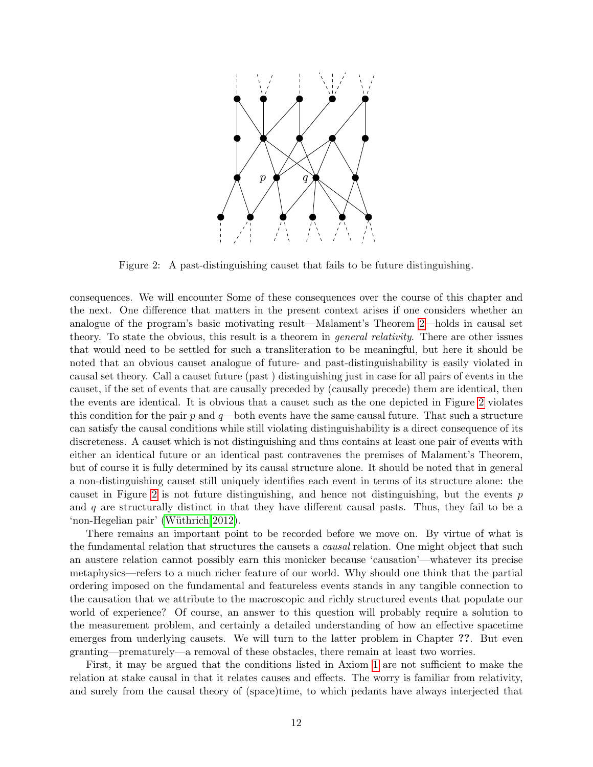

<span id="page-11-0"></span>Figure 2: A past-distinguishing causet that fails to be future distinguishing.

consequences. We will encounter Some of these consequences over the course of this chapter and the next. One difference that matters in the present context arises if one considers whether an analogue of the program's basic motivating result—Malament's Theorem [2—](#page-5-0)holds in causal set theory. To state the obvious, this result is a theorem in *general relativity*. There are other issues that would need to be settled for such a transliteration to be meaningful, but here it should be noted that an obvious causet analogue of future- and past-distinguishability is easily violated in causal set theory. Call a causet future (past ) distinguishing just in case for all pairs of events in the causet, if the set of events that are causally preceded by (causally precede) them are identical, then the events are identical. It is obvious that a causet such as the one depicted in Figure [2](#page-11-0) violates this condition for the pair  $p$  and  $q$ —both events have the same causal future. That such a structure can satisfy the causal conditions while still violating distinguishability is a direct consequence of its discreteness. A causet which is not distinguishing and thus contains at least one pair of events with either an identical future or an identical past contravenes the premises of Malament's Theorem, but of course it is fully determined by its causal structure alone. It should be noted that in general a non-distinguishing causet still uniquely identifies each event in terms of its structure alone: the causet in Figure [2](#page-11-0) is not future distinguishing, and hence not distinguishing, but the events  $p$ and  $q$  are structurally distinct in that they have different causal pasts. Thus, they fail to be a 'non-Hegelian pair' (Wüthrich 2012).

There remains an important point to be recorded before we move on. By virtue of what is the fundamental relation that structures the causets a *causal* relation. One might object that such an austere relation cannot possibly earn this monicker because 'causation'—whatever its precise metaphysics—refers to a much richer feature of our world. Why should one think that the partial ordering imposed on the fundamental and featureless events stands in any tangible connection to the causation that we attribute to the macroscopic and richly structured events that populate our world of experience? Of course, an answer to this question will probably require a solution to the measurement problem, and certainly a detailed understanding of how an effective spacetime emerges from underlying causets. We will turn to the latter problem in Chapter ??. But even granting—prematurely—a removal of these obstacles, there remain at least two worries.

First, it may be argued that the conditions listed in Axiom [1](#page-8-0) are not sufficient to make the relation at stake causal in that it relates causes and effects. The worry is familiar from relativity, and surely from the causal theory of (space)time, to which pedants have always interjected that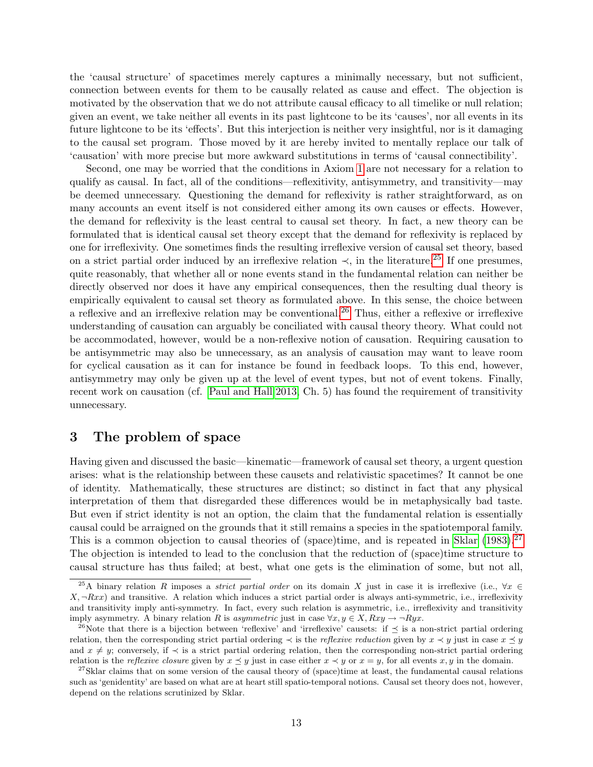the 'causal structure' of spacetimes merely captures a minimally necessary, but not sufficient, connection between events for them to be causally related as cause and effect. The objection is motivated by the observation that we do not attribute causal efficacy to all timelike or null relation; given an event, we take neither all events in its past lightcone to be its 'causes', nor all events in its future lightcone to be its 'effects'. But this interjection is neither very insightful, nor is it damaging to the causal set program. Those moved by it are hereby invited to mentally replace our talk of 'causation' with more precise but more awkward substitutions in terms of 'causal connectibility'.

Second, one may be worried that the conditions in Axiom [1](#page-8-0) are not necessary for a relation to qualify as causal. In fact, all of the conditions—reflexitivity, antisymmetry, and transitivity—may be deemed unnecessary. Questioning the demand for reflexivity is rather straightforward, as on many accounts an event itself is not considered either among its own causes or effects. However, the demand for reflexivity is the least central to causal set theory. In fact, a new theory can be formulated that is identical causal set theory except that the demand for reflexivity is replaced by one for irreflexivity. One sometimes finds the resulting irreflexive version of causal set theory, based on a strict partial order induced by an irreflexive relation  $\prec$ , in the literature.<sup>[25](#page-0-0)</sup> If one presumes, quite reasonably, that whether all or none events stand in the fundamental relation can neither be directly observed nor does it have any empirical consequences, then the resulting dual theory is empirically equivalent to causal set theory as formulated above. In this sense, the choice between a reflexive and an irreflexive relation may be conventional.[26](#page-0-0) Thus, either a reflexive or irreflexive understanding of causation can arguably be conciliated with causal theory theory. What could not be accommodated, however, would be a non-reflexive notion of causation. Requiring causation to be antisymmetric may also be unnecessary, as an analysis of causation may want to leave room for cyclical causation as it can for instance be found in feedback loops. To this end, however, antisymmetry may only be given up at the level of event types, but not of event tokens. Finally, recent work on causation (cf. [Paul and Hall 2013,](#page-23-11) Ch. 5) has found the requirement of transitivity unnecessary.

### 3 The problem of space

Having given and discussed the basic—kinematic—framework of causal set theory, a urgent question arises: what is the relationship between these causets and relativistic spacetimes? It cannot be one of identity. Mathematically, these structures are distinct; so distinct in fact that any physical interpretation of them that disregarded these differences would be in metaphysically bad taste. But even if strict identity is not an option, the claim that the fundamental relation is essentially causal could be arraigned on the grounds that it still remains a species in the spatiotemporal family. This is a common objection to causal theories of (space)time, and is repeated in [Sklar](#page-24-15)  $(1983)$ .<sup>[27](#page-0-0)</sup> The objection is intended to lead to the conclusion that the reduction of (space)time structure to causal structure has thus failed; at best, what one gets is the elimination of some, but not all,

<sup>&</sup>lt;sup>25</sup>A binary relation R imposes a *strict partial order* on its domain X just in case it is irreflexive (i.e.,  $\forall x \in$  $X, \neg Rxx$ ) and transitive. A relation which induces a strict partial order is always anti-symmetric, i.e., irreflexivity and transitivity imply anti-symmetry. In fact, every such relation is asymmetric, i.e., irreflexivity and transitivity imply asymmetry. A binary relation R is asymmetric just in case  $\forall x, y \in X$ ,  $Rxy \rightarrow \neg Ryx$ .

<sup>&</sup>lt;sup>26</sup>Note that there is a bijection between 'reflexive' and 'irreflexive' causets: if  $\preceq$  is a non-strict partial ordering relation, then the corresponding strict partial ordering  $\prec$  is the reflexive reduction given by  $x \prec y$  just in case  $x \preceq y$ and  $x \neq y$ ; conversely, if  $\prec$  is a strict partial ordering relation, then the corresponding non-strict partial ordering relation is the reflexive closure given by  $x \preceq y$  just in case either  $x \prec y$  or  $x = y$ , for all events  $x, y$  in the domain.

 $27$ Sklar claims that on some version of the causal theory of (space)time at least, the fundamental causal relations such as 'genidentity' are based on what are at heart still spatio-temporal notions. Causal set theory does not, however, depend on the relations scrutinized by Sklar.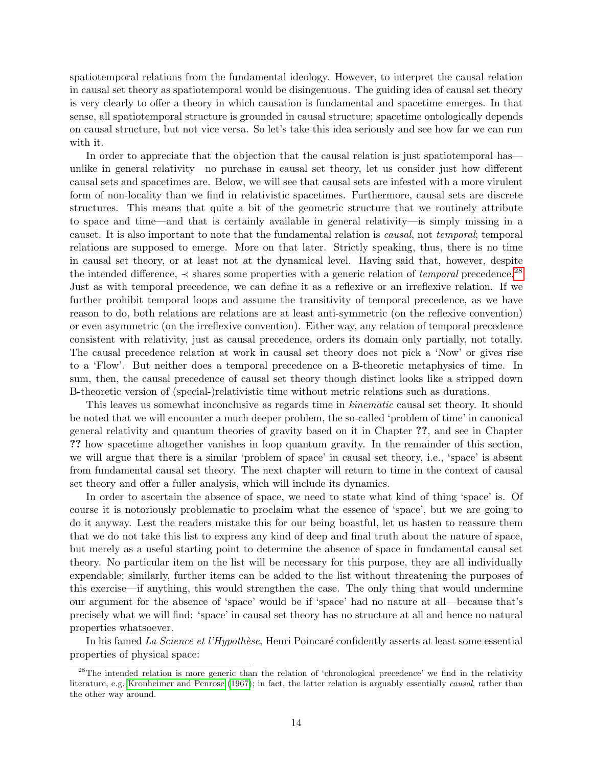spatiotemporal relations from the fundamental ideology. However, to interpret the causal relation in causal set theory as spatiotemporal would be disingenuous. The guiding idea of causal set theory is very clearly to offer a theory in which causation is fundamental and spacetime emerges. In that sense, all spatiotemporal structure is grounded in causal structure; spacetime ontologically depends on causal structure, but not vice versa. So let's take this idea seriously and see how far we can run with it.

In order to appreciate that the objection that the causal relation is just spatiotemporal has unlike in general relativity—no purchase in causal set theory, let us consider just how different causal sets and spacetimes are. Below, we will see that causal sets are infested with a more virulent form of non-locality than we find in relativistic spacetimes. Furthermore, causal sets are discrete structures. This means that quite a bit of the geometric structure that we routinely attribute to space and time—and that is certainly available in general relativity—is simply missing in a causet. It is also important to note that the fundamental relation is causal, not temporal; temporal relations are supposed to emerge. More on that later. Strictly speaking, thus, there is no time in causal set theory, or at least not at the dynamical level. Having said that, however, despite the intended difference,  $\prec$  shares some properties with a generic relation of *temporal* precedence.<sup>[28](#page-0-0)</sup> Just as with temporal precedence, we can define it as a reflexive or an irreflexive relation. If we further prohibit temporal loops and assume the transitivity of temporal precedence, as we have reason to do, both relations are relations are at least anti-symmetric (on the reflexive convention) or even asymmetric (on the irreflexive convention). Either way, any relation of temporal precedence consistent with relativity, just as causal precedence, orders its domain only partially, not totally. The causal precedence relation at work in causal set theory does not pick a 'Now' or gives rise to a 'Flow'. But neither does a temporal precedence on a B-theoretic metaphysics of time. In sum, then, the causal precedence of causal set theory though distinct looks like a stripped down B-theoretic version of (special-)relativistic time without metric relations such as durations.

This leaves us somewhat inconclusive as regards time in *kinematic* causal set theory. It should be noted that we will encounter a much deeper problem, the so-called 'problem of time' in canonical general relativity and quantum theories of gravity based on it in Chapter ??, and see in Chapter ?? how spacetime altogether vanishes in loop quantum gravity. In the remainder of this section, we will argue that there is a similar 'problem of space' in causal set theory, i.e., 'space' is absent from fundamental causal set theory. The next chapter will return to time in the context of causal set theory and offer a fuller analysis, which will include its dynamics.

In order to ascertain the absence of space, we need to state what kind of thing 'space' is. Of course it is notoriously problematic to proclaim what the essence of 'space', but we are going to do it anyway. Lest the readers mistake this for our being boastful, let us hasten to reassure them that we do not take this list to express any kind of deep and final truth about the nature of space, but merely as a useful starting point to determine the absence of space in fundamental causal set theory. No particular item on the list will be necessary for this purpose, they are all individually expendable; similarly, further items can be added to the list without threatening the purposes of this exercise—if anything, this would strengthen the case. The only thing that would undermine our argument for the absence of 'space' would be if 'space' had no nature at all—because that's precisely what we will find: 'space' in causal set theory has no structure at all and hence no natural properties whatsoever.

In his famed La Science et l'Hypothèse, Henri Poincaré confidently asserts at least some essential properties of physical space:

<sup>&</sup>lt;sup>28</sup>The intended relation is more generic than the relation of 'chronological precedence' we find in the relativity literature, e.g. [Kronheimer and Penrose](#page-23-7) [\(1967\)](#page-23-7); in fact, the latter relation is arguably essentially causal, rather than the other way around.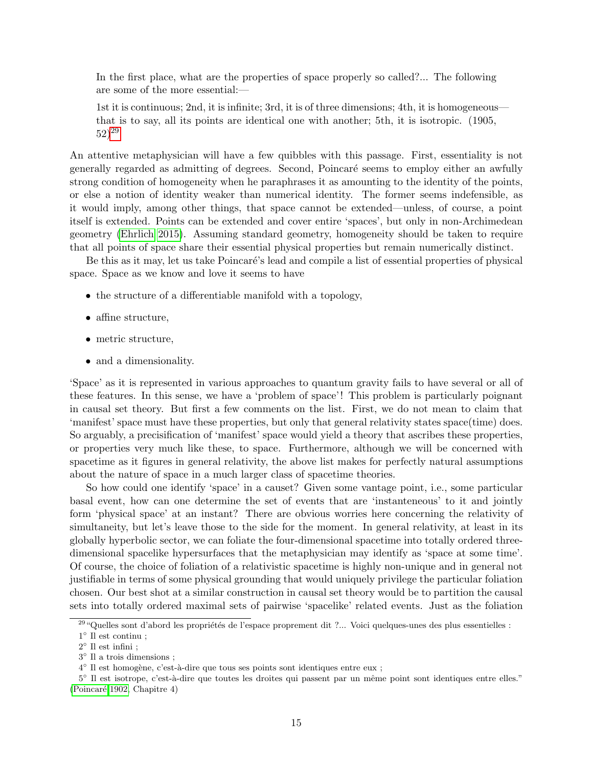In the first place, what are the properties of space properly so called?... The following are some of the more essential:—

1st it is continuous; 2nd, it is infinite; 3rd, it is of three dimensions; 4th, it is homogeneous that is to say, all its points are identical one with another; 5th, it is isotropic. (1905,  $(52)^{29}$  $(52)^{29}$  $(52)^{29}$ 

An attentive metaphysician will have a few quibbles with this passage. First, essentiality is not generally regarded as admitting of degrees. Second, Poincaré seems to employ either an awfully strong condition of homogeneity when he paraphrases it as amounting to the identity of the points, or else a notion of identity weaker than numerical identity. The former seems indefensible, as it would imply, among other things, that space cannot be extended—unless, of course, a point itself is extended. Points can be extended and cover entire 'spaces', but only in non-Archimedean geometry [\(Ehrlich 2015\)](#page-22-7). Assuming standard geometry, homogeneity should be taken to require that all points of space share their essential physical properties but remain numerically distinct.

Be this as it may, let us take Poincaré's lead and compile a list of essential properties of physical space. Space as we know and love it seems to have

- the structure of a differentiable manifold with a topology,
- affine structure,
- metric structure,
- and a dimensionality.

'Space' as it is represented in various approaches to quantum gravity fails to have several or all of these features. In this sense, we have a 'problem of space'! This problem is particularly poignant in causal set theory. But first a few comments on the list. First, we do not mean to claim that 'manifest' space must have these properties, but only that general relativity states space(time) does. So arguably, a precisification of 'manifest' space would yield a theory that ascribes these properties, or properties very much like these, to space. Furthermore, although we will be concerned with spacetime as it figures in general relativity, the above list makes for perfectly natural assumptions about the nature of space in a much larger class of spacetime theories.

So how could one identify 'space' in a causet? Given some vantage point, i.e., some particular basal event, how can one determine the set of events that are 'instanteneous' to it and jointly form 'physical space' at an instant? There are obvious worries here concerning the relativity of simultaneity, but let's leave those to the side for the moment. In general relativity, at least in its globally hyperbolic sector, we can foliate the four-dimensional spacetime into totally ordered threedimensional spacelike hypersurfaces that the metaphysician may identify as 'space at some time'. Of course, the choice of foliation of a relativistic spacetime is highly non-unique and in general not justifiable in terms of some physical grounding that would uniquely privilege the particular foliation chosen. Our best shot at a similar construction in causal set theory would be to partition the causal sets into totally ordered maximal sets of pairwise 'spacelike' related events. Just as the foliation

 $^{29}$ "Quelles sont d'abord les propriétés de l'espace proprement dit ?... Voici quelques-unes des plus essentielles :  $1^\circ$  Il est continu ;

 $2^{\circ}$  Il est infini;

<sup>3</sup> ◦ Il a trois dimensions ;

<sup>&</sup>lt;sup>4</sup> Il est homogène, c'est-à-dire que tous ses points sont identiques entre eux ;

<sup>5°</sup> Il est isotrope, c'est-à-dire que toutes les droites qui passent par un même point sont identiques entre elles." [\(Poincar´e 1902,](#page-23-12) Chapitre 4)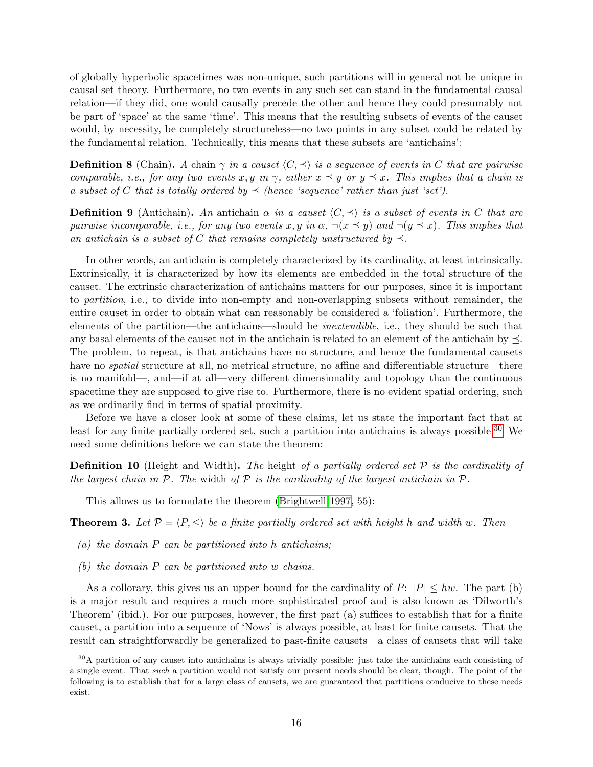of globally hyperbolic spacetimes was non-unique, such partitions will in general not be unique in causal set theory. Furthermore, no two events in any such set can stand in the fundamental causal relation—if they did, one would causally precede the other and hence they could presumably not be part of 'space' at the same 'time'. This means that the resulting subsets of events of the causet would, by necessity, be completely structureless—no two points in any subset could be related by the fundamental relation. Technically, this means that these subsets are 'antichains':

**Definition 8** (Chain). A chain  $\gamma$  in a causet  $\langle C, \preceq \rangle$  is a sequence of events in C that are pairwise comparable, i.e., for any two events x, y in  $\gamma$ , either  $x \preceq y$  or  $y \preceq x$ . This implies that a chain is a subset of C that is totally ordered by  $\preceq$  (hence 'sequence' rather than just 'set').

**Definition 9** (Antichain). An antichain  $\alpha$  in a causet  $\langle C, \preceq \rangle$  is a subset of events in C that are pairwise incomparable, i.e., for any two events x, y in  $\alpha$ ,  $\neg(x \preceq y)$  and  $\neg(y \preceq x)$ . This implies that an antichain is a subset of C that remains completely unstructured by  $\preceq$ .

In other words, an antichain is completely characterized by its cardinality, at least intrinsically. Extrinsically, it is characterized by how its elements are embedded in the total structure of the causet. The extrinsic characterization of antichains matters for our purposes, since it is important to partition, i.e., to divide into non-empty and non-overlapping subsets without remainder, the entire causet in order to obtain what can reasonably be considered a 'foliation'. Furthermore, the elements of the partition—the antichains—should be inextendible, i.e., they should be such that any basal elements of the causet not in the antichain is related to an element of the antichain by  $\prec$ . The problem, to repeat, is that antichains have no structure, and hence the fundamental causets have no *spatial* structure at all, no metrical structure, no affine and differentiable structure—there is no manifold—, and—if at all—very different dimensionality and topology than the continuous spacetime they are supposed to give rise to. Furthermore, there is no evident spatial ordering, such as we ordinarily find in terms of spatial proximity.

Before we have a closer look at some of these claims, let us state the important fact that at least for any finite partially ordered set, such a partition into antichains is always possible.<sup>[30](#page-0-0)</sup> We need some definitions before we can state the theorem:

**Definition 10** (Height and Width). The height of a partially ordered set  $\mathcal P$  is the cardinality of the largest chain in  $P$ . The width of  $P$  is the cardinality of the largest antichain in  $P$ .

This allows us to formulate the theorem [\(Brightwell 1997,](#page-22-8) 55):

<span id="page-15-0"></span>**Theorem 3.** Let  $P = \langle P, \leq \rangle$  be a finite partially ordered set with height h and width w. Then

- (a) the domain  $P$  can be partitioned into h antichains;
- (b) the domain P can be partitioned into w chains.

As a collorary, this gives us an upper bound for the cardinality of  $P: |P| \leq hw$ . The part (b) is a major result and requires a much more sophisticated proof and is also known as 'Dilworth's Theorem' (ibid.). For our purposes, however, the first part (a) suffices to establish that for a finite causet, a partition into a sequence of 'Nows' is always possible, at least for finite causets. That the result can straightforwardly be generalized to past-finite causets—a class of causets that will take

<sup>30</sup>A partition of any causet into antichains is always trivially possible: just take the antichains each consisting of a single event. That such a partition would not satisfy our present needs should be clear, though. The point of the following is to establish that for a large class of causets, we are guaranteed that partitions conducive to these needs exist.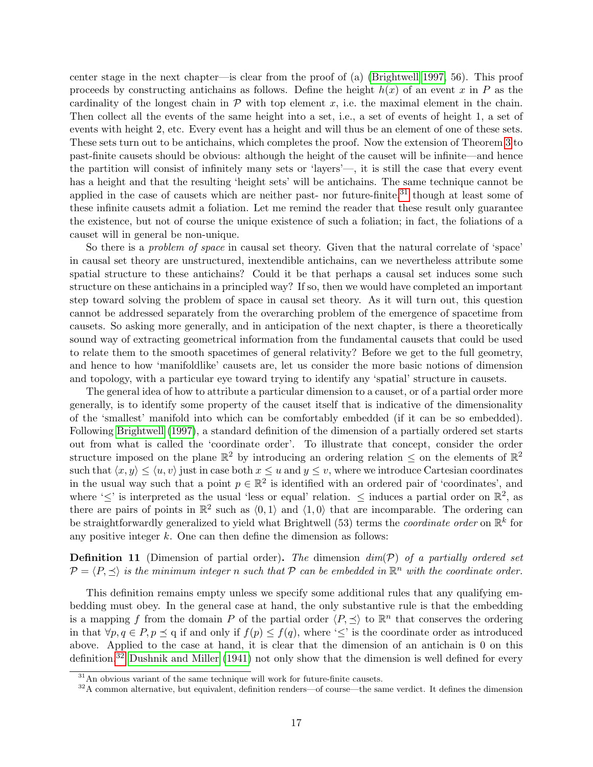center stage in the next chapter—is clear from the proof of (a) [\(Brightwell 1997,](#page-22-8) 56). This proof proceeds by constructing antichains as follows. Define the height  $h(x)$  of an event x in P as the cardinality of the longest chain in  $P$  with top element x, i.e. the maximal element in the chain. Then collect all the events of the same height into a set, i.e., a set of events of height 1, a set of events with height 2, etc. Every event has a height and will thus be an element of one of these sets. These sets turn out to be antichains, which completes the proof. Now the extension of Theorem [3](#page-15-0) to past-finite causets should be obvious: although the height of the causet will be infinite—and hence the partition will consist of infinitely many sets or 'layers'—, it is still the case that every event has a height and that the resulting 'height sets' will be antichains. The same technique cannot be applied in the case of causets which are neither past- nor future-finite,<sup>[31](#page-0-0)</sup> though at least some of these infinite causets admit a foliation. Let me remind the reader that these result only guarantee the existence, but not of course the unique existence of such a foliation; in fact, the foliations of a causet will in general be non-unique.

So there is a problem of space in causal set theory. Given that the natural correlate of 'space' in causal set theory are unstructured, inextendible antichains, can we nevertheless attribute some spatial structure to these antichains? Could it be that perhaps a causal set induces some such structure on these antichains in a principled way? If so, then we would have completed an important step toward solving the problem of space in causal set theory. As it will turn out, this question cannot be addressed separately from the overarching problem of the emergence of spacetime from causets. So asking more generally, and in anticipation of the next chapter, is there a theoretically sound way of extracting geometrical information from the fundamental causets that could be used to relate them to the smooth spacetimes of general relativity? Before we get to the full geometry, and hence to how 'manifoldlike' causets are, let us consider the more basic notions of dimension and topology, with a particular eye toward trying to identify any 'spatial' structure in causets.

The general idea of how to attribute a particular dimension to a causet, or of a partial order more generally, is to identify some property of the causet itself that is indicative of the dimensionality of the 'smallest' manifold into which can be comfortably embedded (if it can be so embedded). Following [Brightwell](#page-22-8) [\(1997\)](#page-22-8), a standard definition of the dimension of a partially ordered set starts out from what is called the 'coordinate order'. To illustrate that concept, consider the order structure imposed on the plane  $\mathbb{R}^2$  by introducing an ordering relation  $\leq$  on the elements of  $\mathbb{R}^2$ such that  $\langle x, y \rangle \le \langle u, v \rangle$  just in case both  $x \le u$  and  $y \le v$ , where we introduce Cartesian coordinates in the usual way such that a point  $p \in \mathbb{R}^2$  is identified with an ordered pair of 'coordinates', and where ' $\leq$ ' is interpreted as the usual 'less or equal' relation.  $\leq$  induces a partial order on  $\mathbb{R}^2$ , as there are pairs of points in  $\mathbb{R}^2$  such as  $(0, 1)$  and  $(1, 0)$  that are incomparable. The ordering can be straightforwardly generalized to yield what Brightwell (53) terms the *coordinate order* on  $\mathbb{R}^k$  for any positive integer  $k$ . One can then define the dimension as follows:

<span id="page-16-0"></span>**Definition 11** (Dimension of partial order). The dimension  $dim(\mathcal{P})$  of a partially ordered set  $\mathcal{P} = \langle P, \preceq \rangle$  is the minimum integer n such that  $\mathcal P$  can be embedded in  $\mathbb{R}^n$  with the coordinate order.

This definition remains empty unless we specify some additional rules that any qualifying embedding must obey. In the general case at hand, the only substantive rule is that the embedding is a mapping f from the domain P of the partial order  $\langle P, \preceq \rangle$  to  $\mathbb{R}^n$  that conserves the ordering in that  $\forall p, q \in P, p \leq q$  if and only if  $f(p) \leq f(q)$ , where ' $\leq$ ' is the coordinate order as introduced above. Applied to the case at hand, it is clear that the dimension of an antichain is 0 on this definition.[32](#page-0-0) [Dushnik and Miller](#page-22-9) [\(1941\)](#page-22-9) not only show that the dimension is well defined for every

 $31$ An obvious variant of the same technique will work for future-finite causets.

 $32A$  common alternative, but equivalent, definition renders—of course—the same verdict. It defines the dimension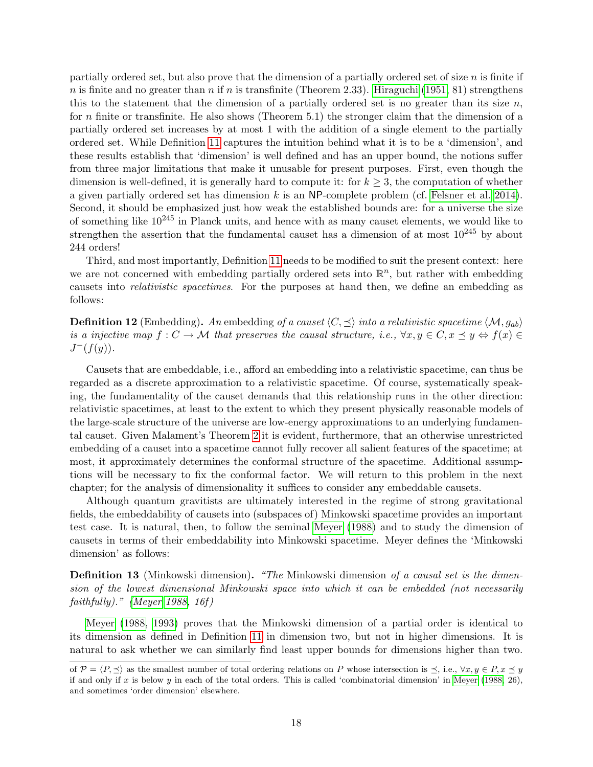partially ordered set, but also prove that the dimension of a partially ordered set of size  $n$  is finite if n is finite and no greater than n if n is transfinite (Theorem 2.33). [Hiraguchi](#page-23-13) [\(1951,](#page-23-13) 81) strengthens this to the statement that the dimension of a partially ordered set is no greater than its size  $n$ , for n finite or transfinite. He also shows (Theorem 5.1) the stronger claim that the dimension of a partially ordered set increases by at most 1 with the addition of a single element to the partially ordered set. While Definition [11](#page-16-0) captures the intuition behind what it is to be a 'dimension', and these results establish that 'dimension' is well defined and has an upper bound, the notions suffer from three major limitations that make it unusable for present purposes. First, even though the dimension is well-defined, it is generally hard to compute it: for  $k \geq 3$ , the computation of whether a given partially ordered set has dimension  $k$  is an NP-complete problem (cf. [Felsner et al. 2014\)](#page-22-10). Second, it should be emphasized just how weak the established bounds are: for a universe the size of something like  $10^{245}$  in Planck units, and hence with as many causet elements, we would like to strengthen the assertion that the fundamental causet has a dimension of at most  $10^{245}$  by about 244 orders!

Third, and most importantly, Definition [11](#page-16-0) needs to be modified to suit the present context: here we are not concerned with embedding partially ordered sets into  $\mathbb{R}^n$ , but rather with embedding causets into relativistic spacetimes. For the purposes at hand then, we define an embedding as follows:

<span id="page-17-0"></span>**Definition 12** (Embedding). An embedding of a causet  $\langle C, \preceq \rangle$  into a relativistic spacetime  $\langle M, g_{ab} \rangle$ is a injective map  $f: C \to M$  that preserves the causal structure, i.e.,  $\forall x, y \in C, x \preceq y \Leftrightarrow f(x) \in$  $J^-(f(y)).$ 

Causets that are embeddable, i.e., afford an embedding into a relativistic spacetime, can thus be regarded as a discrete approximation to a relativistic spacetime. Of course, systematically speaking, the fundamentality of the causet demands that this relationship runs in the other direction: relativistic spacetimes, at least to the extent to which they present physically reasonable models of the large-scale structure of the universe are low-energy approximations to an underlying fundamental causet. Given Malament's Theorem [2](#page-5-0) it is evident, furthermore, that an otherwise unrestricted embedding of a causet into a spacetime cannot fully recover all salient features of the spacetime; at most, it approximately determines the conformal structure of the spacetime. Additional assumptions will be necessary to fix the conformal factor. We will return to this problem in the next chapter; for the analysis of dimensionality it suffices to consider any embeddable causets.

Although quantum gravitists are ultimately interested in the regime of strong gravitational fields, the embeddability of causets into (subspaces of) Minkowski spacetime provides an important test case. It is natural, then, to follow the seminal [Meyer](#page-23-14) [\(1988\)](#page-23-14) and to study the dimension of causets in terms of their embeddability into Minkowski spacetime. Meyer defines the 'Minkowski dimension' as follows:

**Definition 13** (Minkowski dimension). "The Minkowski dimension of a causal set is the dimension of the lowest dimensional Minkowski space into which it can be embedded (not necessarily faithfully)." [\(Meyer 1988,](#page-23-14) 16f)

[Meyer](#page-23-14) [\(1988,](#page-23-14) [1993\)](#page-23-15) proves that the Minkowski dimension of a partial order is identical to its dimension as defined in Definition [11](#page-16-0) in dimension two, but not in higher dimensions. It is natural to ask whether we can similarly find least upper bounds for dimensions higher than two.

of  $\mathcal{P} = \langle P, \preceq \rangle$  as the smallest number of total ordering relations on P whose intersection is  $\preceq$ , i.e.,  $\forall x, y \in P, x \preceq y$ if and only if  $x$  is below  $y$  in each of the total orders. This is called 'combinatorial dimension' in [Meyer](#page-23-14) [\(1988,](#page-23-14) 26), and sometimes 'order dimension' elsewhere.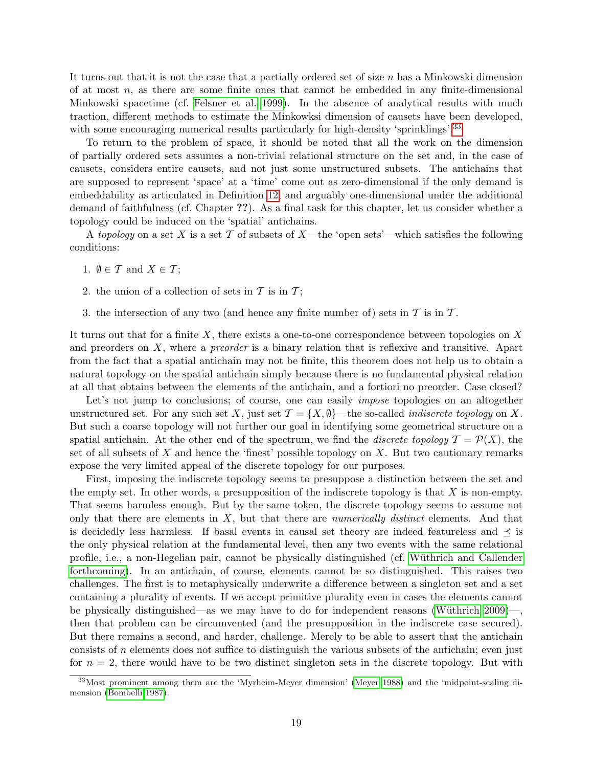It turns out that it is not the case that a partially ordered set of size n has a Minkowski dimension of at most  $n$ , as there are some finite ones that cannot be embedded in any finite-dimensional Minkowski spacetime (cf. [Felsner et al. 1999\)](#page-22-11). In the absence of analytical results with much traction, different methods to estimate the Minkowksi dimension of causets have been developed, with some encouraging numerical results particularly for high-density 'sprinklings'.<sup>[33](#page-0-0)</sup>

To return to the problem of space, it should be noted that all the work on the dimension of partially ordered sets assumes a non-trivial relational structure on the set and, in the case of causets, considers entire causets, and not just some unstructured subsets. The antichains that are supposed to represent 'space' at a 'time' come out as zero-dimensional if the only demand is embeddability as articulated in Definition [12,](#page-17-0) and arguably one-dimensional under the additional demand of faithfulness (cf. Chapter ??). As a final task for this chapter, let us consider whether a topology could be induced on the 'spatial' antichains.

A topology on a set X is a set T of subsets of X—the 'open sets'—which satisfies the following conditions:

- 1.  $\emptyset \in \mathcal{T}$  and  $X \in \mathcal{T}$ :
- 2. the union of a collection of sets in  $\mathcal T$  is in  $\mathcal T$ ;
- 3. the intersection of any two (and hence any finite number of) sets in  $\mathcal T$  is in  $\mathcal T$ .

It turns out that for a finite  $X$ , there exists a one-to-one correspondence between topologies on  $X$ and preorders on X, where a *preorder* is a binary relation that is reflexive and transitive. Apart from the fact that a spatial antichain may not be finite, this theorem does not help us to obtain a natural topology on the spatial antichain simply because there is no fundamental physical relation at all that obtains between the elements of the antichain, and a fortiori no preorder. Case closed?

Let's not jump to conclusions; of course, one can easily *impose* topologies on an altogether unstructured set. For any such set X, just set  $\mathcal{T} = \{X, \emptyset\}$ —the so-called *indiscrete topology* on X. But such a coarse topology will not further our goal in identifying some geometrical structure on a spatial antichain. At the other end of the spectrum, we find the *discrete topology*  $\mathcal{T} = \mathcal{P}(X)$ , the set of all subsets of X and hence the 'finest' possible topology on X. But two cautionary remarks expose the very limited appeal of the discrete topology for our purposes.

First, imposing the indiscrete topology seems to presuppose a distinction between the set and the empty set. In other words, a presupposition of the indiscrete topology is that  $X$  is non-empty. That seems harmless enough. But by the same token, the discrete topology seems to assume not only that there are elements in  $X$ , but that there are *numerically distinct* elements. And that is decidedly less harmless. If basal events in causal set theory are indeed featureless and  $\preceq$  is the only physical relation at the fundamental level, then any two events with the same relational profile, i.e., a non-Hegelian pair, cannot be physically distinguished (cf. Wüthrich and Callender [forthcoming\)](#page-24-16). In an antichain, of course, elements cannot be so distinguished. This raises two challenges. The first is to metaphysically underwrite a difference between a singleton set and a set containing a plurality of events. If we accept primitive plurality even in cases the elements cannot be physically distinguished—as we may have to do for independent reasons [\(W¨uthrich 2009\)](#page-24-17)—, then that problem can be circumvented (and the presupposition in the indiscrete case secured). But there remains a second, and harder, challenge. Merely to be able to assert that the antichain consists of n elements does not suffice to distinguish the various subsets of the antichain; even just for  $n = 2$ , there would have to be two distinct singleton sets in the discrete topology. But with

<sup>33</sup>Most prominent among them are the 'Myrheim-Meyer dimension' [\(Meyer 1988\)](#page-23-14) and the 'midpoint-scaling dimension [\(Bombelli 1987\)](#page-22-12).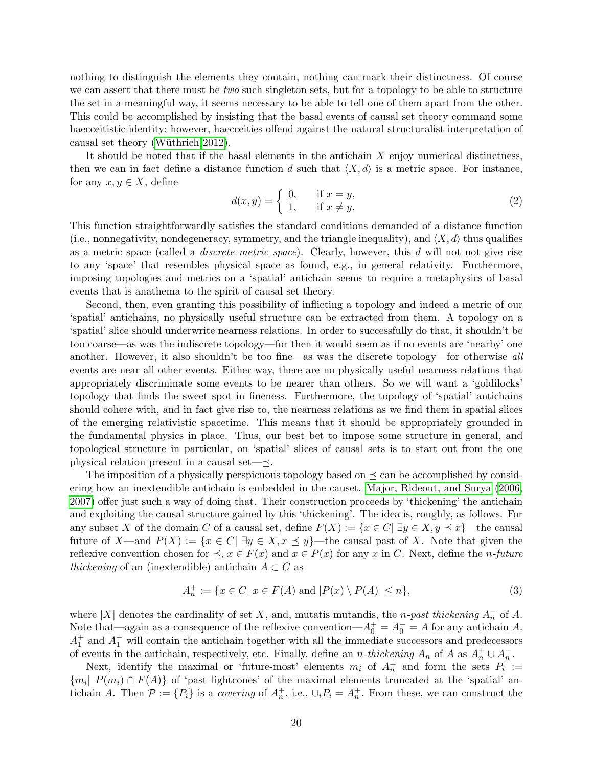nothing to distinguish the elements they contain, nothing can mark their distinctness. Of course we can assert that there must be *two* such singleton sets, but for a topology to be able to structure the set in a meaningful way, it seems necessary to be able to tell one of them apart from the other. This could be accomplished by insisting that the basal events of causal set theory command some haecceitistic identity; however, haecceities offend against the natural structuralist interpretation of causal set theory (Wüthrich 2012).

It should be noted that if the basal elements in the antichain  $X$  enjoy numerical distinctness, then we can in fact define a distance function d such that  $\langle X, d \rangle$  is a metric space. For instance, for any  $x, y \in X$ , define

$$
d(x,y) = \begin{cases} 0, & \text{if } x = y, \\ 1, & \text{if } x \neq y. \end{cases}
$$
 (2)

This function straightforwardly satisfies the standard conditions demanded of a distance function (i.e., nonnegativity, nondegeneracy, symmetry, and the triangle inequality), and  $\langle X, d \rangle$  thus qualifies as a metric space (called a discrete metric space). Clearly, however, this d will not not give rise to any 'space' that resembles physical space as found, e.g., in general relativity. Furthermore, imposing topologies and metrics on a 'spatial' antichain seems to require a metaphysics of basal events that is anathema to the spirit of causal set theory.

Second, then, even granting this possibility of inflicting a topology and indeed a metric of our 'spatial' antichains, no physically useful structure can be extracted from them. A topology on a 'spatial' slice should underwrite nearness relations. In order to successfully do that, it shouldn't be too coarse—as was the indiscrete topology—for then it would seem as if no events are 'nearby' one another. However, it also shouldn't be too fine—as was the discrete topology—for otherwise all events are near all other events. Either way, there are no physically useful nearness relations that appropriately discriminate some events to be nearer than others. So we will want a 'goldilocks' topology that finds the sweet spot in fineness. Furthermore, the topology of 'spatial' antichains should cohere with, and in fact give rise to, the nearness relations as we find them in spatial slices of the emerging relativistic spacetime. This means that it should be appropriately grounded in the fundamental physics in place. Thus, our best bet to impose some structure in general, and topological structure in particular, on 'spatial' slices of causal sets is to start out from the one physical relation present in a causal set— $\preceq$ .

The imposition of a physically perspicuous topology based on  $\preceq$  can be accomplished by considering how an inextendible antichain is embedded in the causet. [Major, Rideout, and Surya](#page-23-16) [\(2006,](#page-23-16) [2007\)](#page-23-17) offer just such a way of doing that. Their construction proceeds by 'thickening' the antichain and exploiting the causal structure gained by this 'thickening'. The idea is, roughly, as follows. For any subset X of the domain C of a causal set, define  $F(X) := \{x \in C | \exists y \in X, y \preceq x\}$ —the causal future of X—and  $P(X) := \{x \in C | \exists y \in X, x \leq y\}$ —the causal past of X. Note that given the reflexive convention chosen for  $\preceq$ ,  $x \in F(x)$  and  $x \in P(x)$  for any x in C. Next, define the *n*-future thickening of an (inextendible) antichain  $A \subset C$  as

$$
A_n^+ := \{ x \in C | x \in F(A) \text{ and } |P(x) \setminus P(A)| \le n \},
$$
\n(3)

where |X| denotes the cardinality of set X, and, mutatis mutandis, the n-past thickening  $A_n^-$  of A. Note that—again as a consequence of the reflexive convention— $A_0^+ = A_0^- = A$  for any antichain A.  $A_1^+$  and  $A_1^-$  will contain the antichain together with all the immediate successors and predecessors of events in the antichain, respectively, etc. Finally, define an *n*-thickening  $A_n$  of A as  $A_n^+ \cup A_n^-$ .

Next, identify the maximal or 'future-most' elements  $m_i$  of  $A_n^+$  and form the sets  $P_i :=$  ${m_i | P(m_i) \cap F(A)}$  of 'past lightcones' of the maximal elements truncated at the 'spatial' antichain A. Then  $\mathcal{P} := \{P_i\}$  is a *covering* of  $A_n^+$ , i.e.,  $\cup_i P_i = A_n^+$ . From these, we can construct the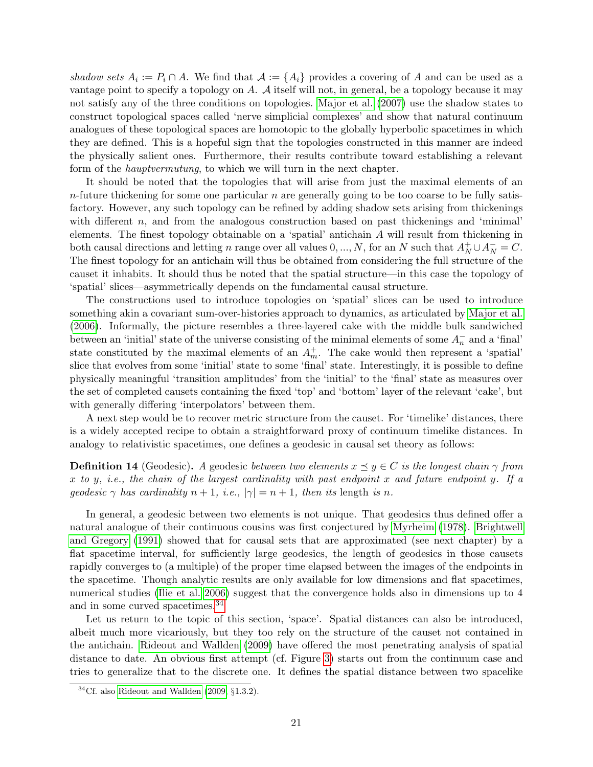shadow sets  $A_i := P_i \cap A$ . We find that  $A := \{A_i\}$  provides a covering of A and can be used as a vantage point to specify a topology on A. A itself will not, in general, be a topology because it may not satisfy any of the three conditions on topologies. [Major et al.](#page-23-17) [\(2007\)](#page-23-17) use the shadow states to construct topological spaces called 'nerve simplicial complexes' and show that natural continuum analogues of these topological spaces are homotopic to the globally hyperbolic spacetimes in which they are defined. This is a hopeful sign that the topologies constructed in this manner are indeed the physically salient ones. Furthermore, their results contribute toward establishing a relevant form of the hauptvermutung, to which we will turn in the next chapter.

It should be noted that the topologies that will arise from just the maximal elements of an  $n$ -future thickening for some one particular n are generally going to be too coarse to be fully satisfactory. However, any such topology can be refined by adding shadow sets arising from thickenings with different  $n$ , and from the analogous construction based on past thickenings and 'minimal' elements. The finest topology obtainable on a 'spatial' antichain A will result from thickening in both causal directions and letting n range over all values  $0, ..., N$ , for an N such that  $A_N^+ \cup A_N^- = C$ . The finest topology for an antichain will thus be obtained from considering the full structure of the causet it inhabits. It should thus be noted that the spatial structure—in this case the topology of 'spatial' slices—asymmetrically depends on the fundamental causal structure.

The constructions used to introduce topologies on 'spatial' slices can be used to introduce something akin a covariant sum-over-histories approach to dynamics, as articulated by [Major et al.](#page-23-16) [\(2006\)](#page-23-16). Informally, the picture resembles a three-layered cake with the middle bulk sandwiched between an 'initial' state of the universe consisting of the minimal elements of some  $A_n^-$  and a 'final' state constituted by the maximal elements of an  $A_m^+$ . The cake would then represent a 'spatial' slice that evolves from some 'initial' state to some 'final' state. Interestingly, it is possible to define physically meaningful 'transition amplitudes' from the 'initial' to the 'final' state as measures over the set of completed causets containing the fixed 'top' and 'bottom' layer of the relevant 'cake', but with generally differing 'interpolators' between them.

A next step would be to recover metric structure from the causet. For 'timelike' distances, there is a widely accepted recipe to obtain a straightforward proxy of continuum timelike distances. In analogy to relativistic spacetimes, one defines a geodesic in causal set theory as follows:

**Definition 14** (Geodesic). A geodesic between two elements  $x \preceq y \in C$  is the longest chain  $\gamma$  from x to y, i.e., the chain of the largest cardinality with past endpoint x and future endpoint y. If a geodesic  $\gamma$  has cardinality  $n + 1$ , i.e.,  $|\gamma| = n + 1$ , then its length is n.

In general, a geodesic between two elements is not unique. That geodesics thus defined offer a natural analogue of their continuous cousins was first conjectured by [Myrheim](#page-23-0) [\(1978\)](#page-23-0). [Brightwell](#page-22-13) [and Gregory](#page-22-13) [\(1991\)](#page-22-13) showed that for causal sets that are approximated (see next chapter) by a flat spacetime interval, for sufficiently large geodesics, the length of geodesics in those causets rapidly converges to (a multiple) of the proper time elapsed between the images of the endpoints in the spacetime. Though analytic results are only available for low dimensions and flat spacetimes, numerical studies [\(Ilie et al. 2006\)](#page-23-18) suggest that the convergence holds also in dimensions up to 4 and in some curved spacetimes.[34](#page-0-0)

Let us return to the topic of this section, 'space'. Spatial distances can also be introduced, albeit much more vicariously, but they too rely on the structure of the causet not contained in the antichain. [Rideout and Wallden](#page-24-18) [\(2009\)](#page-24-18) have offered the most penetrating analysis of spatial distance to date. An obvious first attempt (cf. Figure [3\)](#page-21-0) starts out from the continuum case and tries to generalize that to the discrete one. It defines the spatial distance between two spacelike

 ${}^{34}Cf.$  also [Rideout and Wallden](#page-24-18) [\(2009,](#page-24-18)  $\S 1.3.2$ ).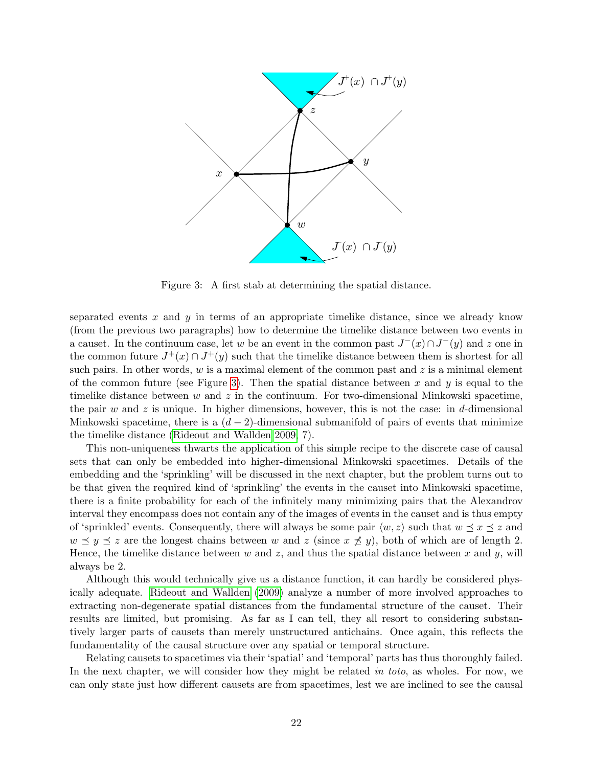

<span id="page-21-0"></span>Figure 3: A first stab at determining the spatial distance.

separated events  $x$  and  $y$  in terms of an appropriate timelike distance, since we already know (from the previous two paragraphs) how to determine the timelike distance between two events in a causet. In the continuum case, let w be an event in the common past  $J^-(x) \cap J^-(y)$  and z one in the common future  $J^+(x) \cap J^+(y)$  such that the timelike distance between them is shortest for all such pairs. In other words,  $w$  is a maximal element of the common past and  $z$  is a minimal element of the common future (see Figure [3\)](#page-21-0). Then the spatial distance between  $x$  and  $y$  is equal to the timelike distance between w and z in the continuum. For two-dimensional Minkowski spacetime, the pair w and z is unique. In higher dimensions, however, this is not the case: in d-dimensional Minkowski spacetime, there is a  $(d-2)$ -dimensional submanifold of pairs of events that minimize the timelike distance [\(Rideout and Wallden 2009,](#page-24-18) 7).

This non-uniqueness thwarts the application of this simple recipe to the discrete case of causal sets that can only be embedded into higher-dimensional Minkowski spacetimes. Details of the embedding and the 'sprinkling' will be discussed in the next chapter, but the problem turns out to be that given the required kind of 'sprinkling' the events in the causet into Minkowski spacetime, there is a finite probability for each of the infinitely many minimizing pairs that the Alexandrov interval they encompass does not contain any of the images of events in the causet and is thus empty of 'sprinkled' events. Consequently, there will always be some pair  $\langle w, z \rangle$  such that  $w \preceq x \preceq z$  and  $w \preceq y \preceq z$  are the longest chains between w and z (since  $x \not\preceq y$ ), both of which are of length 2. Hence, the timelike distance between  $w$  and  $z$ , and thus the spatial distance between  $x$  and  $y$ , will always be 2.

Although this would technically give us a distance function, it can hardly be considered physically adequate. [Rideout and Wallden](#page-24-18) [\(2009\)](#page-24-18) analyze a number of more involved approaches to extracting non-degenerate spatial distances from the fundamental structure of the causet. Their results are limited, but promising. As far as I can tell, they all resort to considering substantively larger parts of causets than merely unstructured antichains. Once again, this reflects the fundamentality of the causal structure over any spatial or temporal structure.

Relating causets to spacetimes via their 'spatial' and 'temporal' parts has thus thoroughly failed. In the next chapter, we will consider how they might be related in toto, as wholes. For now, we can only state just how different causets are from spacetimes, lest we are inclined to see the causal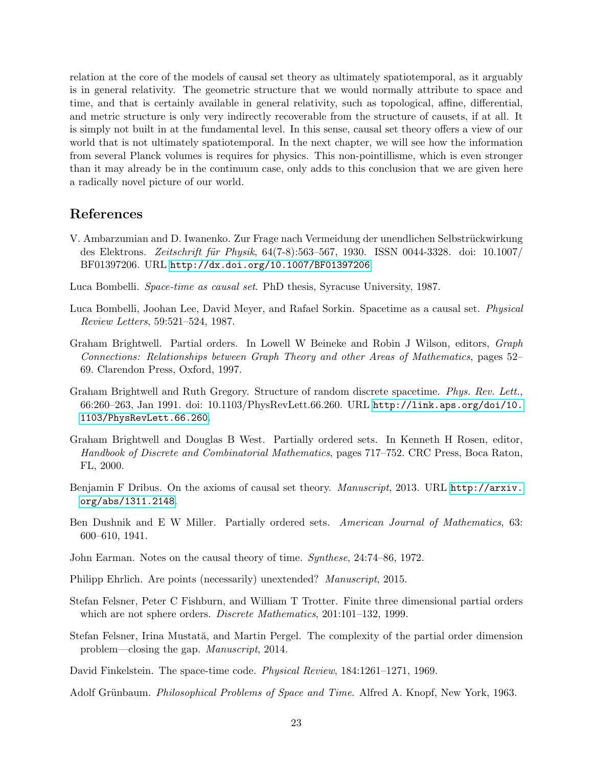relation at the core of the models of causal set theory as ultimately spatiotemporal, as it arguably is in general relativity. The geometric structure that we would normally attribute to space and time, and that is certainly available in general relativity, such as topological, affine, differential, and metric structure is only very indirectly recoverable from the structure of causets, if at all. It is simply not built in at the fundamental level. In this sense, causal set theory offers a view of our world that is not ultimately spatiotemporal. In the next chapter, we will see how the information from several Planck volumes is requires for physics. This non-pointillisme, which is even stronger than it may already be in the continuum case, only adds to this conclusion that we are given here a radically novel picture of our world.

## References

- <span id="page-22-4"></span>V. Ambarzumian and D. Iwanenko. Zur Frage nach Vermeidung der unendlichen Selbstrückwirkung des Elektrons. *Zeitschrift für Physik*, 64(7-8):563–567, 1930. ISSN 0044-3328. doi: 10.1007/ BF01397206. URL <http://dx.doi.org/10.1007/BF01397206>.
- <span id="page-22-12"></span>Luca Bombelli. Space-time as causal set. PhD thesis, Syracuse University, 1987.
- <span id="page-22-1"></span>Luca Bombelli, Joohan Lee, David Meyer, and Rafael Sorkin. Spacetime as a causal set. Physical Review Letters, 59:521–524, 1987.
- <span id="page-22-8"></span>Graham Brightwell. Partial orders. In Lowell W Beineke and Robin J Wilson, editors, Graph Connections: Relationships between Graph Theory and other Areas of Mathematics, pages 52– 69. Clarendon Press, Oxford, 1997.
- <span id="page-22-13"></span>Graham Brightwell and Ruth Gregory. Structure of random discrete spacetime. Phys. Rev. Lett., 66:260–263, Jan 1991. doi: 10.1103/PhysRevLett.66.260. URL [http://link.aps.org/doi/10.](http://link.aps.org/doi/10.1103/PhysRevLett.66.260) [1103/PhysRevLett.66.260](http://link.aps.org/doi/10.1103/PhysRevLett.66.260).
- <span id="page-22-6"></span>Graham Brightwell and Douglas B West. Partially ordered sets. In Kenneth H Rosen, editor, Handbook of Discrete and Combinatorial Mathematics, pages 717–752. CRC Press, Boca Raton, FL, 2000.
- <span id="page-22-5"></span>Benjamin F Dribus. On the axioms of causal set theory. Manuscript, 2013. URL [http://arxiv.](http://arxiv.org/abs/1311.2148) [org/abs/1311.2148](http://arxiv.org/abs/1311.2148).
- <span id="page-22-9"></span>Ben Dushnik and E W Miller. Partially ordered sets. American Journal of Mathematics, 63: 600–610, 1941.
- <span id="page-22-3"></span>John Earman. Notes on the causal theory of time. Synthese, 24:74–86, 1972.
- <span id="page-22-7"></span>Philipp Ehrlich. Are points (necessarily) unextended? Manuscript, 2015.
- <span id="page-22-11"></span>Stefan Felsner, Peter C Fishburn, and William T Trotter. Finite three dimensional partial orders which are not sphere orders. *Discrete Mathematics*, 201:101-132, 1999.
- <span id="page-22-10"></span>Stefan Felsner, Irina Mustată, and Martin Pergel. The complexity of the partial order dimension problem—closing the gap. Manuscript, 2014.
- <span id="page-22-0"></span>David Finkelstein. The space-time code. Physical Review, 184:1261–1271, 1969.
- <span id="page-22-2"></span>Adolf Grünbaum. *Philosophical Problems of Space and Time*. Alfred A. Knopf, New York, 1963.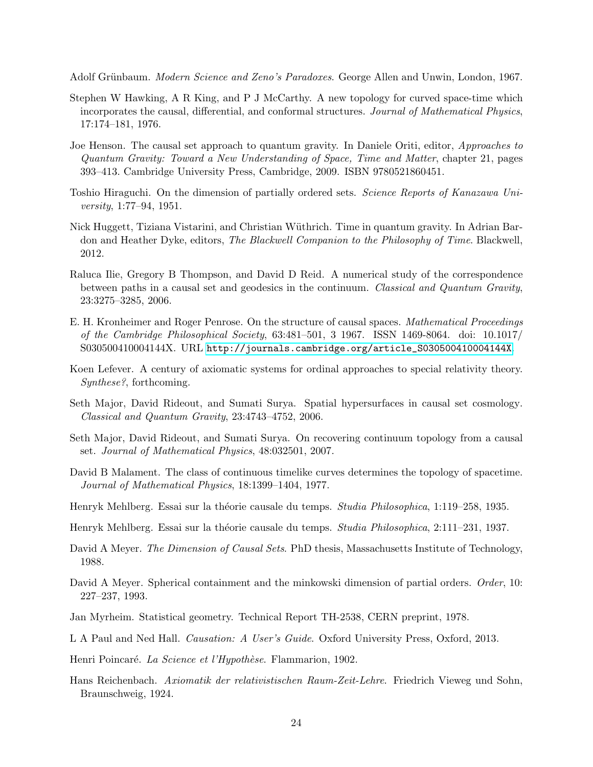<span id="page-23-2"></span>Adolf Grünbaum. *Modern Science and Zeno's Paradoxes*. George Allen and Unwin, London, 1967.

- <span id="page-23-8"></span>Stephen W Hawking, A R King, and P J McCarthy. A new topology for curved space-time which incorporates the causal, differential, and conformal structures. Journal of Mathematical Physics, 17:174–181, 1976.
- <span id="page-23-10"></span>Joe Henson. The causal set approach to quantum gravity. In Daniele Oriti, editor, Approaches to Quantum Gravity: Toward a New Understanding of Space, Time and Matter, chapter 21, pages 393–413. Cambridge University Press, Cambridge, 2009. ISBN 9780521860451.
- <span id="page-23-13"></span>Toshio Hiraguchi. On the dimension of partially ordered sets. Science Reports of Kanazawa University, 1:77–94, 1951.
- <span id="page-23-3"></span>Nick Huggett, Tiziana Vistarini, and Christian Wüthrich. Time in quantum gravity. In Adrian Bardon and Heather Dyke, editors, The Blackwell Companion to the Philosophy of Time. Blackwell, 2012.
- <span id="page-23-18"></span>Raluca Ilie, Gregory B Thompson, and David D Reid. A numerical study of the correspondence between paths in a causal set and geodesics in the continuum. Classical and Quantum Gravity, 23:3275–3285, 2006.
- <span id="page-23-7"></span>E. H. Kronheimer and Roger Penrose. On the structure of causal spaces. Mathematical Proceedings of the Cambridge Philosophical Society, 63:481–501, 3 1967. ISSN 1469-8064. doi: 10.1017/ S030500410004144X. URL [http://journals.cambridge.org/article\\_S030500410004144X](http://journals.cambridge.org/article_S030500410004144X).
- <span id="page-23-4"></span>Koen Lefever. A century of axiomatic systems for ordinal approaches to special relativity theory. Synthese?, forthcoming.
- <span id="page-23-16"></span>Seth Major, David Rideout, and Sumati Surya. Spatial hypersurfaces in causal set cosmology. Classical and Quantum Gravity, 23:4743–4752, 2006.
- <span id="page-23-17"></span>Seth Major, David Rideout, and Sumati Surya. On recovering continuum topology from a causal set. Journal of Mathematical Physics, 48:032501, 2007.
- <span id="page-23-9"></span>David B Malament. The class of continuous timelike curves determines the topology of spacetime. Journal of Mathematical Physics, 18:1399–1404, 1977.
- <span id="page-23-5"></span>Henryk Mehlberg. Essai sur la théorie causale du temps. *Studia Philosophica*, 1:119–258, 1935.
- <span id="page-23-6"></span>Henryk Mehlberg. Essai sur la théorie causale du temps. *Studia Philosophica*, 2:111–231, 1937.
- <span id="page-23-14"></span>David A Meyer. The Dimension of Causal Sets. PhD thesis, Massachusetts Institute of Technology, 1988.
- <span id="page-23-15"></span>David A Meyer. Spherical containment and the minkowski dimension of partial orders. *Order*, 10: 227–237, 1993.
- <span id="page-23-0"></span>Jan Myrheim. Statistical geometry. Technical Report TH-2538, CERN preprint, 1978.
- <span id="page-23-11"></span>L A Paul and Ned Hall. *Causation: A User's Guide*. Oxford University Press, Oxford, 2013.
- <span id="page-23-12"></span>Henri Poincaré. La Science et l'Hypothèse. Flammarion, 1902.
- <span id="page-23-1"></span>Hans Reichenbach. Axiomatik der relativistischen Raum-Zeit-Lehre. Friedrich Vieweg und Sohn, Braunschweig, 1924.